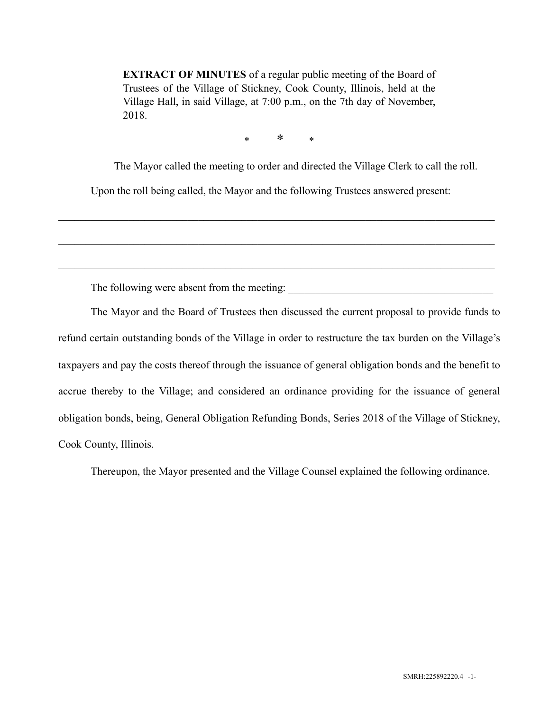**EXTRACT OF MINUTES** of a regular public meeting of the Board of Trustees of the Village of Stickney, Cook County, Illinois, held at the Village Hall, in said Village, at 7:00 p.m., on the 7th day of November, 2018.

\* \* \*

The Mayor called the meeting to order and directed the Village Clerk to call the roll.

Upon the roll being called, the Mayor and the following Trustees answered present:

 $\_$  , and the contribution of the contribution of the contribution of the contribution of  $\mathcal{L}_\text{max}$ 

 $\_$  , and the contribution of the contribution of the contribution of the contribution of  $\mathcal{L}_\text{max}$ 

 $\_$  , and the contribution of the contribution of the contribution of the contribution of  $\mathcal{L}_\text{max}$ 

The following were absent from the meeting:

 $\overline{a}$ 

The Mayor and the Board of Trustees then discussed the current proposal to provide funds to refund certain outstanding bonds of the Village in order to restructure the tax burden on the Village's taxpayers and pay the costs thereof through the issuance of general obligation bonds and the benefit to accrue thereby to the Village; and considered an ordinance providing for the issuance of general obligation bonds, being, General Obligation Refunding Bonds, Series 2018 of the Village of Stickney, Cook County, Illinois.

Thereupon, the Mayor presented and the Village Counsel explained the following ordinance.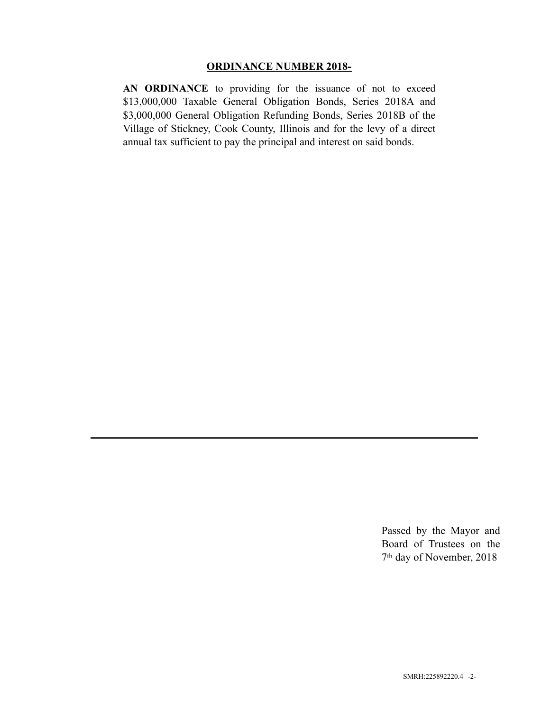### **ORDINANCE NUMBER 2018-**

AN ORDINANCE to providing for the issuance of not to exceed \$13,000,000 Taxable General Obligation Bonds, Series 2018A and \$3,000,000 General Obligation Refunding Bonds, Series 2018B of the Village of Stickney, Cook County, Illinois and for the levy of a direct annual tax sufficient to pay the principal and interest on said bonds.

 $\overline{a}$ 

Passed by the Mayor and Board of Trustees on the 7th day of November, 2018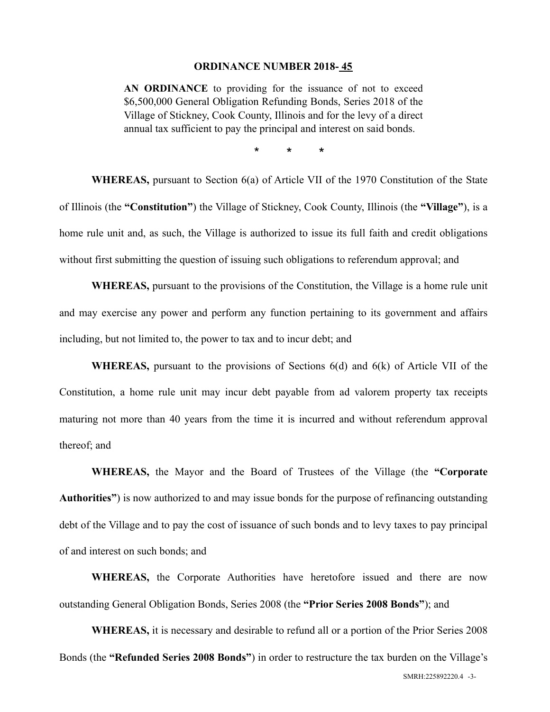#### **ORDINANCE NUMBER 2018- 45**

**AN ORDINANCE** to providing for the issuance of not to exceed \$6,500,000 General Obligation Refunding Bonds, Series 2018 of the Village of Stickney, Cook County, Illinois and for the levy of a direct annual tax sufficient to pay the principal and interest on said bonds.

\* \* \*

**WHEREAS,** pursuant to Section 6(a) of Article VII of the 1970 Constitution of the State of Illinois (the **"Constitution"**) the Village of Stickney, Cook County, Illinois (the **"Village"**), is a home rule unit and, as such, the Village is authorized to issue its full faith and credit obligations without first submitting the question of issuing such obligations to referendum approval; and

**WHEREAS,** pursuant to the provisions of the Constitution, the Village is a home rule unit and may exercise any power and perform any function pertaining to its government and affairs including, but not limited to, the power to tax and to incur debt; and

**WHEREAS,** pursuant to the provisions of Sections 6(d) and 6(k) of Article VII of the Constitution, a home rule unit may incur debt payable from ad valorem property tax receipts maturing not more than 40 years from the time it is incurred and without referendum approval thereof; and

**WHEREAS,** the Mayor and the Board of Trustees of the Village (the **"Corporate Authorities"**) is now authorized to and may issue bonds for the purpose of refinancing outstanding debt of the Village and to pay the cost of issuance of such bonds and to levy taxes to pay principal of and interest on such bonds; and

**WHEREAS,** the Corporate Authorities have heretofore issued and there are now outstanding General Obligation Bonds, Series 2008 (the **"Prior Series 2008 Bonds"**); and

**WHEREAS,** it is necessary and desirable to refund all or a portion of the Prior Series 2008 Bonds (the **"Refunded Series 2008 Bonds"**) in order to restructure the tax burden on the Village's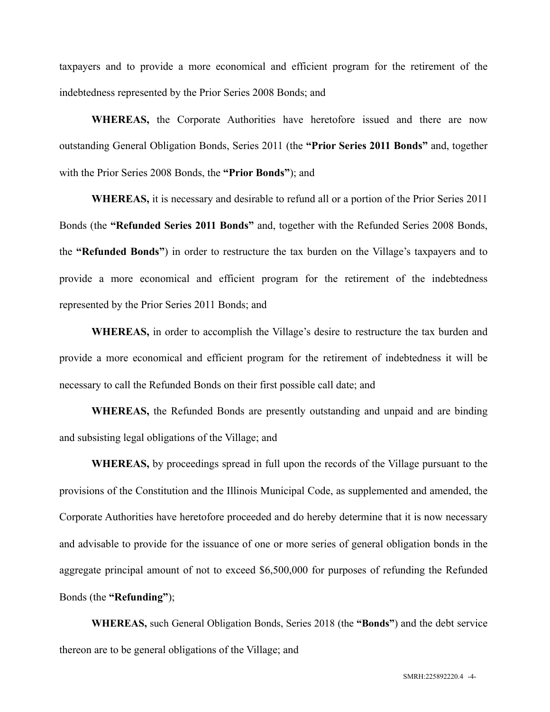taxpayers and to provide a more economical and efficient program for the retirement of the indebtedness represented by the Prior Series 2008 Bonds; and

**WHEREAS,** the Corporate Authorities have heretofore issued and there are now outstanding General Obligation Bonds, Series 2011 (the **"Prior Series 2011 Bonds"** and, together with the Prior Series 2008 Bonds, the **"Prior Bonds"**); and

**WHEREAS,** it is necessary and desirable to refund all or a portion of the Prior Series 2011 Bonds (the **"Refunded Series 2011 Bonds"** and, together with the Refunded Series 2008 Bonds, the **"Refunded Bonds"**) in order to restructure the tax burden on the Village's taxpayers and to provide a more economical and efficient program for the retirement of the indebtedness represented by the Prior Series 2011 Bonds; and

**WHEREAS,** in order to accomplish the Village's desire to restructure the tax burden and provide a more economical and efficient program for the retirement of indebtedness it will be necessary to call the Refunded Bonds on their first possible call date; and

**WHEREAS,** the Refunded Bonds are presently outstanding and unpaid and are binding and subsisting legal obligations of the Village; and

**WHEREAS,** by proceedings spread in full upon the records of the Village pursuant to the provisions of the Constitution and the Illinois Municipal Code, as supplemented and amended, the Corporate Authorities have heretofore proceeded and do hereby determine that it is now necessary and advisable to provide for the issuance of one or more series of general obligation bonds in the aggregate principal amount of not to exceed \$6,500,000 for purposes of refunding the Refunded Bonds (the **"Refunding"**);

**WHEREAS,** such General Obligation Bonds, Series 2018 (the **"Bonds"**) and the debt service thereon are to be general obligations of the Village; and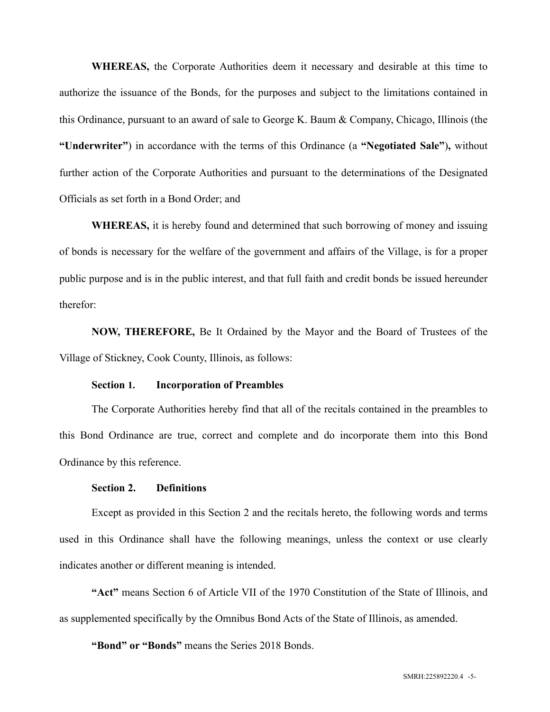**WHEREAS,** the Corporate Authorities deem it necessary and desirable at this time to authorize the issuance of the Bonds, for the purposes and subject to the limitations contained in this Ordinance, pursuant to an award of sale to George K. Baum & Company, Chicago, Illinois (the **"Underwriter"**) in accordance with the terms of this Ordinance (a **"Negotiated Sale"**)**,** without further action of the Corporate Authorities and pursuant to the determinations of the Designated Officials as set forth in a Bond Order; and

**WHEREAS,** it is hereby found and determined that such borrowing of money and issuing of bonds is necessary for the welfare of the government and affairs of the Village, is for a proper public purpose and is in the public interest, and that full faith and credit bonds be issued hereunder therefor:

**NOW, THEREFORE,** Be It Ordained by the Mayor and the Board of Trustees of the Village of Stickney, Cook County, Illinois, as follows:

#### **Section 1. Incorporation of Preambles**

The Corporate Authorities hereby find that all of the recitals contained in the preambles to this Bond Ordinance are true, correct and complete and do incorporate them into this Bond Ordinance by this reference.

#### **Section 2. Definitions**

Except as provided in this Section 2 and the recitals hereto, the following words and terms used in this Ordinance shall have the following meanings, unless the context or use clearly indicates another or different meaning is intended.

**"Act"** means Section 6 of Article VII of the 1970 Constitution of the State of Illinois, and as supplemented specifically by the Omnibus Bond Acts of the State of Illinois, as amended.

**"Bond" or "Bonds"** means the Series 2018 Bonds.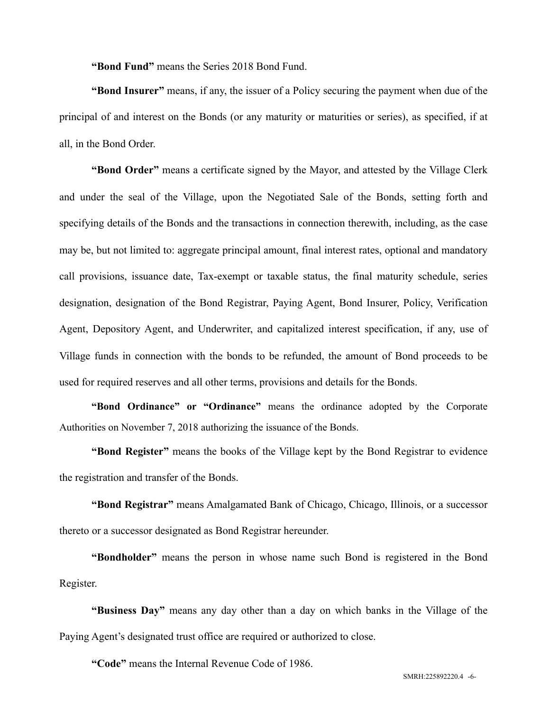**"Bond Fund"** means the Series 2018 Bond Fund.

**"Bond Insurer"** means, if any, the issuer of a Policy securing the payment when due of the principal of and interest on the Bonds (or any maturity or maturities or series), as specified, if at all, in the Bond Order.

**"Bond Order"** means a certificate signed by the Mayor, and attested by the Village Clerk and under the seal of the Village, upon the Negotiated Sale of the Bonds, setting forth and specifying details of the Bonds and the transactions in connection therewith, including, as the case may be, but not limited to: aggregate principal amount, final interest rates, optional and mandatory call provisions, issuance date, Tax-exempt or taxable status, the final maturity schedule, series designation, designation of the Bond Registrar, Paying Agent, Bond Insurer, Policy, Verification Agent, Depository Agent, and Underwriter, and capitalized interest specification, if any, use of Village funds in connection with the bonds to be refunded, the amount of Bond proceeds to be used for required reserves and all other terms, provisions and details for the Bonds.

**"Bond Ordinance" or "Ordinance"** means the ordinance adopted by the Corporate Authorities on November 7, 2018 authorizing the issuance of the Bonds.

**"Bond Register"** means the books of the Village kept by the Bond Registrar to evidence the registration and transfer of the Bonds.

**"Bond Registrar"** means Amalgamated Bank of Chicago, Chicago, Illinois, or a successor thereto or a successor designated as Bond Registrar hereunder.

**"Bondholder"** means the person in whose name such Bond is registered in the Bond Register.

**"Business Day"** means any day other than a day on which banks in the Village of the Paying Agent's designated trust office are required or authorized to close.

**"Code"** means the Internal Revenue Code of 1986.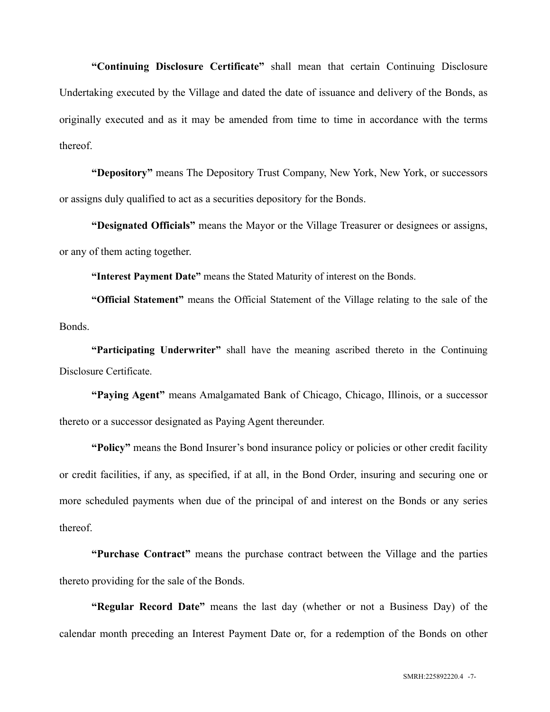**"Continuing Disclosure Certificate"** shall mean that certain Continuing Disclosure Undertaking executed by the Village and dated the date of issuance and delivery of the Bonds, as originally executed and as it may be amended from time to time in accordance with the terms thereof.

**"Depository"** means The Depository Trust Company, New York, New York, or successors or assigns duly qualified to act as a securities depository for the Bonds.

**"Designated Officials"** means the Mayor or the Village Treasurer or designees or assigns, or any of them acting together.

**"Interest Payment Date"** means the Stated Maturity of interest on the Bonds.

**"Official Statement"** means the Official Statement of the Village relating to the sale of the Bonds.

**"Participating Underwriter"** shall have the meaning ascribed thereto in the Continuing Disclosure Certificate.

**"Paying Agent"** means Amalgamated Bank of Chicago, Chicago, Illinois, or a successor thereto or a successor designated as Paying Agent thereunder.

**"Policy"** means the Bond Insurer's bond insurance policy or policies or other credit facility or credit facilities, if any, as specified, if at all, in the Bond Order, insuring and securing one or more scheduled payments when due of the principal of and interest on the Bonds or any series thereof.

**"Purchase Contract"** means the purchase contract between the Village and the parties thereto providing for the sale of the Bonds.

**"Regular Record Date"** means the last day (whether or not a Business Day) of the calendar month preceding an Interest Payment Date or, for a redemption of the Bonds on other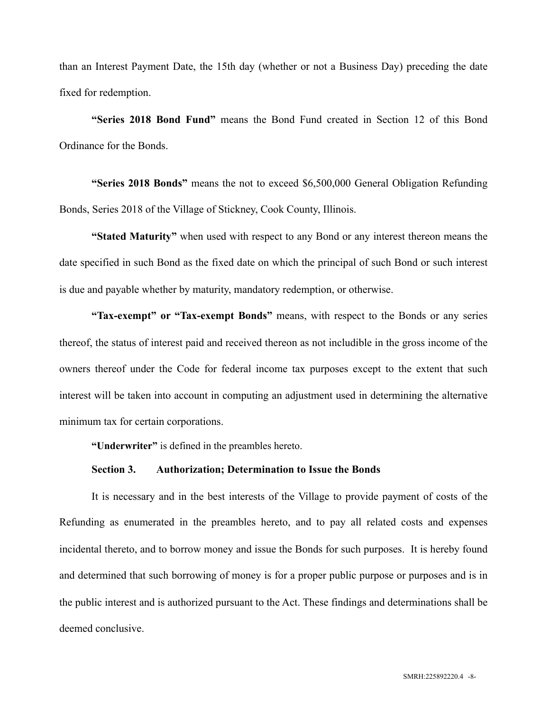than an Interest Payment Date, the 15th day (whether or not a Business Day) preceding the date fixed for redemption.

**"Series 2018 Bond Fund"** means the Bond Fund created in Section 12 of this Bond Ordinance for the Bonds.

**"Series 2018 Bonds"** means the not to exceed \$6,500,000 General Obligation Refunding Bonds, Series 2018 of the Village of Stickney, Cook County, Illinois.

**"Stated Maturity"** when used with respect to any Bond or any interest thereon means the date specified in such Bond as the fixed date on which the principal of such Bond or such interest is due and payable whether by maturity, mandatory redemption, or otherwise.

**"Tax-exempt" or "Tax-exempt Bonds"** means, with respect to the Bonds or any series thereof, the status of interest paid and received thereon as not includible in the gross income of the owners thereof under the Code for federal income tax purposes except to the extent that such interest will be taken into account in computing an adjustment used in determining the alternative minimum tax for certain corporations.

**"Underwriter"** is defined in the preambles hereto.

### **Section 3. Authorization; Determination to Issue the Bonds**

It is necessary and in the best interests of the Village to provide payment of costs of the Refunding as enumerated in the preambles hereto, and to pay all related costs and expenses incidental thereto, and to borrow money and issue the Bonds for such purposes. It is hereby found and determined that such borrowing of money is for a proper public purpose or purposes and is in the public interest and is authorized pursuant to the Act. These findings and determinations shall be deemed conclusive.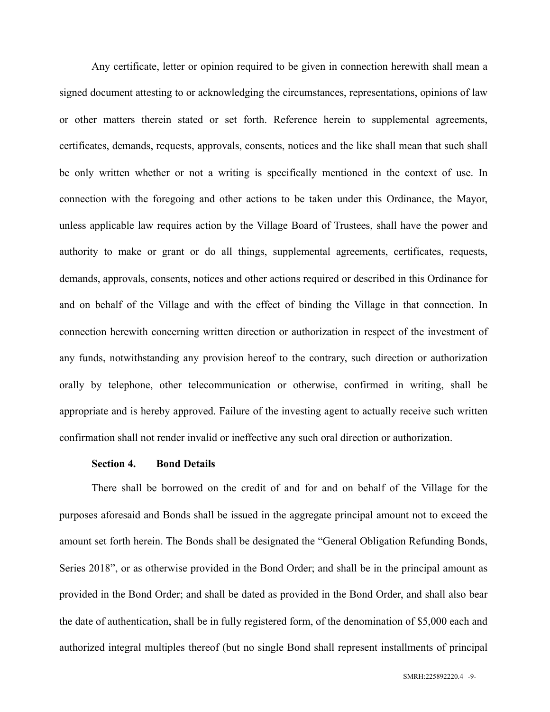Any certificate, letter or opinion required to be given in connection herewith shall mean a signed document attesting to or acknowledging the circumstances, representations, opinions of law or other matters therein stated or set forth. Reference herein to supplemental agreements, certificates, demands, requests, approvals, consents, notices and the like shall mean that such shall be only written whether or not a writing is specifically mentioned in the context of use. In connection with the foregoing and other actions to be taken under this Ordinance, the Mayor, unless applicable law requires action by the Village Board of Trustees, shall have the power and authority to make or grant or do all things, supplemental agreements, certificates, requests, demands, approvals, consents, notices and other actions required or described in this Ordinance for and on behalf of the Village and with the effect of binding the Village in that connection. In connection herewith concerning written direction or authorization in respect of the investment of any funds, notwithstanding any provision hereof to the contrary, such direction or authorization orally by telephone, other telecommunication or otherwise, confirmed in writing, shall be appropriate and is hereby approved. Failure of the investing agent to actually receive such written confirmation shall not render invalid or ineffective any such oral direction or authorization.

#### **Section 4. Bond Details**

There shall be borrowed on the credit of and for and on behalf of the Village for the purposes aforesaid and Bonds shall be issued in the aggregate principal amount not to exceed the amount set forth herein. The Bonds shall be designated the "General Obligation Refunding Bonds, Series 2018", or as otherwise provided in the Bond Order; and shall be in the principal amount as provided in the Bond Order; and shall be dated as provided in the Bond Order, and shall also bear the date of authentication, shall be in fully registered form, of the denomination of \$5,000 each and authorized integral multiples thereof (but no single Bond shall represent installments of principal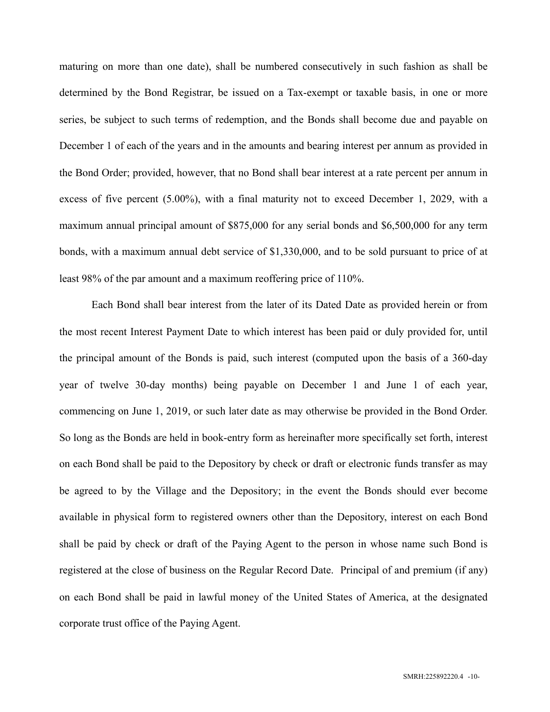maturing on more than one date), shall be numbered consecutively in such fashion as shall be determined by the Bond Registrar, be issued on a Tax-exempt or taxable basis, in one or more series, be subject to such terms of redemption, and the Bonds shall become due and payable on December 1 of each of the years and in the amounts and bearing interest per annum as provided in the Bond Order; provided, however, that no Bond shall bear interest at a rate percent per annum in excess of five percent (5.00%), with a final maturity not to exceed December 1, 2029, with a maximum annual principal amount of \$875,000 for any serial bonds and \$6,500,000 for any term bonds, with a maximum annual debt service of \$1,330,000, and to be sold pursuant to price of at least 98% of the par amount and a maximum reoffering price of 110%.

Each Bond shall bear interest from the later of its Dated Date as provided herein or from the most recent Interest Payment Date to which interest has been paid or duly provided for, until the principal amount of the Bonds is paid, such interest (computed upon the basis of a 360-day year of twelve 30-day months) being payable on December 1 and June 1 of each year, commencing on June 1, 2019, or such later date as may otherwise be provided in the Bond Order. So long as the Bonds are held in book-entry form as hereinafter more specifically set forth, interest on each Bond shall be paid to the Depository by check or draft or electronic funds transfer as may be agreed to by the Village and the Depository; in the event the Bonds should ever become available in physical form to registered owners other than the Depository, interest on each Bond shall be paid by check or draft of the Paying Agent to the person in whose name such Bond is registered at the close of business on the Regular Record Date. Principal of and premium (if any) on each Bond shall be paid in lawful money of the United States of America, at the designated corporate trust office of the Paying Agent.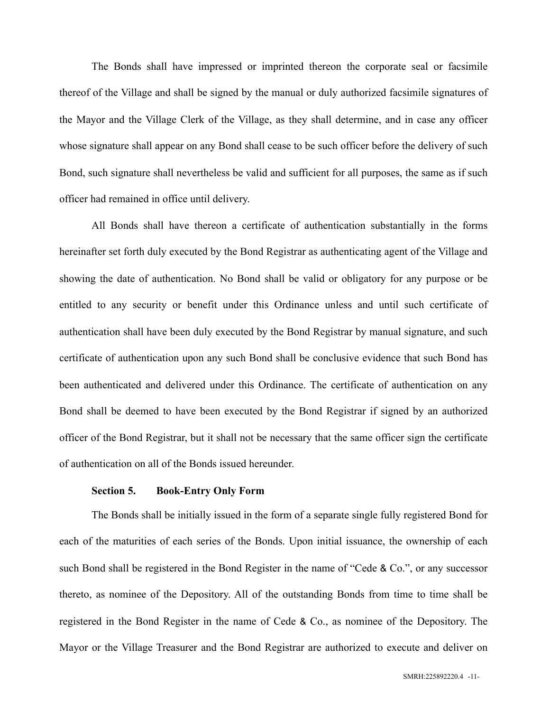The Bonds shall have impressed or imprinted thereon the corporate seal or facsimile thereof of the Village and shall be signed by the manual or duly authorized facsimile signatures of the Mayor and the Village Clerk of the Village, as they shall determine, and in case any officer whose signature shall appear on any Bond shall cease to be such officer before the delivery of such Bond, such signature shall nevertheless be valid and sufficient for all purposes, the same as if such officer had remained in office until delivery.

All Bonds shall have thereon a certificate of authentication substantially in the forms hereinafter set forth duly executed by the Bond Registrar as authenticating agent of the Village and showing the date of authentication. No Bond shall be valid or obligatory for any purpose or be entitled to any security or benefit under this Ordinance unless and until such certificate of authentication shall have been duly executed by the Bond Registrar by manual signature, and such certificate of authentication upon any such Bond shall be conclusive evidence that such Bond has been authenticated and delivered under this Ordinance. The certificate of authentication on any Bond shall be deemed to have been executed by the Bond Registrar if signed by an authorized officer of the Bond Registrar, but it shall not be necessary that the same officer sign the certificate of authentication on all of the Bonds issued hereunder.

### **Section 5. Book-Entry Only Form**

The Bonds shall be initially issued in the form of a separate single fully registered Bond for each of the maturities of each series of the Bonds. Upon initial issuance, the ownership of each such Bond shall be registered in the Bond Register in the name of "Cede & Co.", or any successor thereto, as nominee of the Depository. All of the outstanding Bonds from time to time shall be registered in the Bond Register in the name of Cede & Co., as nominee of the Depository. The Mayor or the Village Treasurer and the Bond Registrar are authorized to execute and deliver on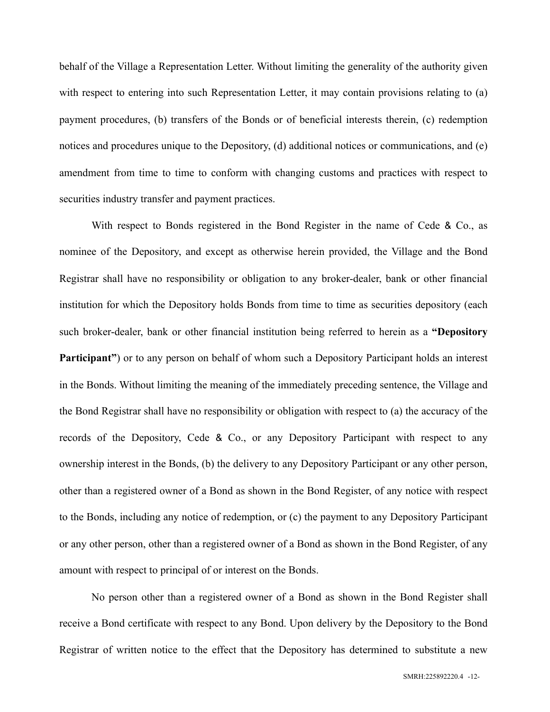behalf of the Village a Representation Letter. Without limiting the generality of the authority given with respect to entering into such Representation Letter, it may contain provisions relating to (a) payment procedures, (b) transfers of the Bonds or of beneficial interests therein, (c) redemption notices and procedures unique to the Depository, (d) additional notices or communications, and (e) amendment from time to time to conform with changing customs and practices with respect to securities industry transfer and payment practices.

With respect to Bonds registered in the Bond Register in the name of Cede & Co., as nominee of the Depository, and except as otherwise herein provided, the Village and the Bond Registrar shall have no responsibility or obligation to any broker-dealer, bank or other financial institution for which the Depository holds Bonds from time to time as securities depository (each such broker-dealer, bank or other financial institution being referred to herein as a **"Depository Participant**") or to any person on behalf of whom such a Depository Participant holds an interest in the Bonds. Without limiting the meaning of the immediately preceding sentence, the Village and the Bond Registrar shall have no responsibility or obligation with respect to (a) the accuracy of the records of the Depository, Cede & Co., or any Depository Participant with respect to any ownership interest in the Bonds, (b) the delivery to any Depository Participant or any other person, other than a registered owner of a Bond as shown in the Bond Register, of any notice with respect to the Bonds, including any notice of redemption, or (c) the payment to any Depository Participant or any other person, other than a registered owner of a Bond as shown in the Bond Register, of any amount with respect to principal of or interest on the Bonds.

No person other than a registered owner of a Bond as shown in the Bond Register shall receive a Bond certificate with respect to any Bond. Upon delivery by the Depository to the Bond Registrar of written notice to the effect that the Depository has determined to substitute a new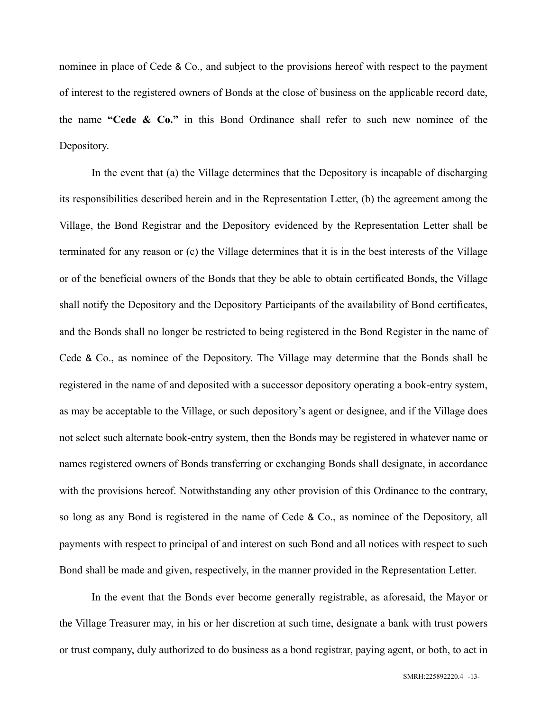nominee in place of Cede & Co., and subject to the provisions hereof with respect to the payment of interest to the registered owners of Bonds at the close of business on the applicable record date, the name **"Cede & Co."** in this Bond Ordinance shall refer to such new nominee of the Depository.

In the event that (a) the Village determines that the Depository is incapable of discharging its responsibilities described herein and in the Representation Letter, (b) the agreement among the Village, the Bond Registrar and the Depository evidenced by the Representation Letter shall be terminated for any reason or (c) the Village determines that it is in the best interests of the Village or of the beneficial owners of the Bonds that they be able to obtain certificated Bonds, the Village shall notify the Depository and the Depository Participants of the availability of Bond certificates, and the Bonds shall no longer be restricted to being registered in the Bond Register in the name of Cede & Co., as nominee of the Depository. The Village may determine that the Bonds shall be registered in the name of and deposited with a successor depository operating a book-entry system, as may be acceptable to the Village, or such depository's agent or designee, and if the Village does not select such alternate book-entry system, then the Bonds may be registered in whatever name or names registered owners of Bonds transferring or exchanging Bonds shall designate, in accordance with the provisions hereof. Notwithstanding any other provision of this Ordinance to the contrary, so long as any Bond is registered in the name of Cede & Co., as nominee of the Depository, all payments with respect to principal of and interest on such Bond and all notices with respect to such Bond shall be made and given, respectively, in the manner provided in the Representation Letter.

In the event that the Bonds ever become generally registrable, as aforesaid, the Mayor or the Village Treasurer may, in his or her discretion at such time, designate a bank with trust powers or trust company, duly authorized to do business as a bond registrar, paying agent, or both, to act in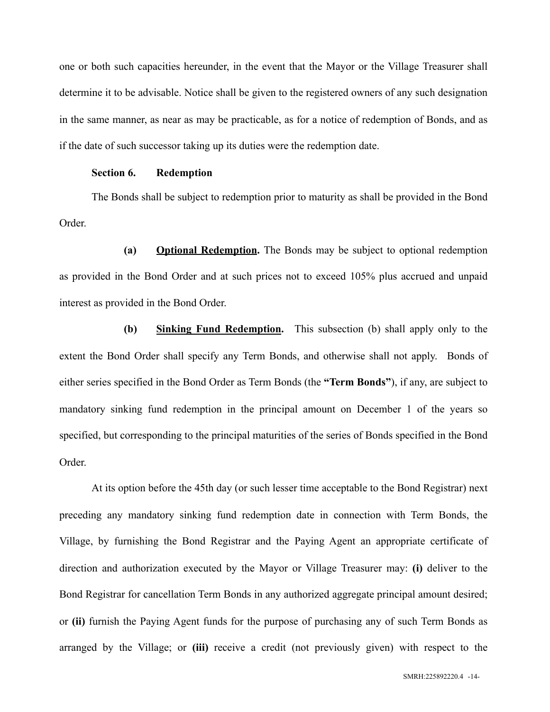one or both such capacities hereunder, in the event that the Mayor or the Village Treasurer shall determine it to be advisable. Notice shall be given to the registered owners of any such designation in the same manner, as near as may be practicable, as for a notice of redemption of Bonds, and as if the date of such successor taking up its duties were the redemption date.

#### **Section 6. Redemption**

The Bonds shall be subject to redemption prior to maturity as shall be provided in the Bond Order.

**(a) Optional Redemption.** The Bonds may be subject to optional redemption as provided in the Bond Order and at such prices not to exceed 105% plus accrued and unpaid interest as provided in the Bond Order.

**(b) Sinking Fund Redemption.** This subsection (b) shall apply only to the extent the Bond Order shall specify any Term Bonds, and otherwise shall not apply. Bonds of either series specified in the Bond Order as Term Bonds (the **"Term Bonds"**), if any, are subject to mandatory sinking fund redemption in the principal amount on December 1 of the years so specified, but corresponding to the principal maturities of the series of Bonds specified in the Bond Order.

At its option before the 45th day (or such lesser time acceptable to the Bond Registrar) next preceding any mandatory sinking fund redemption date in connection with Term Bonds, the Village, by furnishing the Bond Registrar and the Paying Agent an appropriate certificate of direction and authorization executed by the Mayor or Village Treasurer may: **(i)** deliver to the Bond Registrar for cancellation Term Bonds in any authorized aggregate principal amount desired; or **(ii)** furnish the Paying Agent funds for the purpose of purchasing any of such Term Bonds as arranged by the Village; or **(iii)** receive a credit (not previously given) with respect to the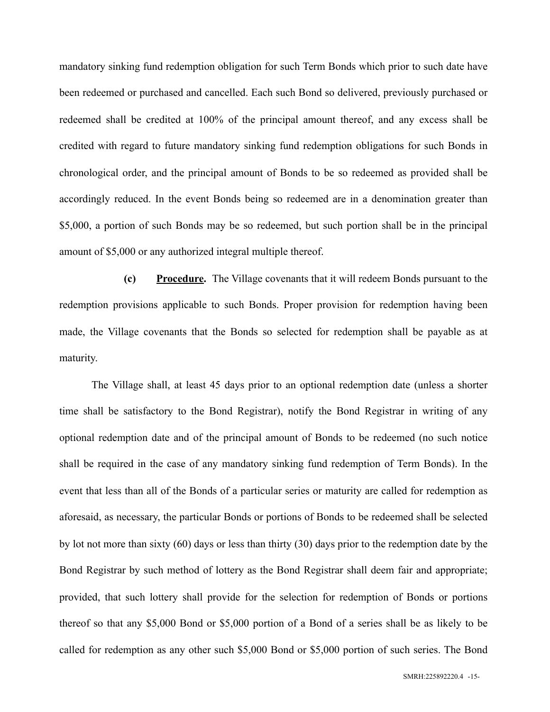mandatory sinking fund redemption obligation for such Term Bonds which prior to such date have been redeemed or purchased and cancelled. Each such Bond so delivered, previously purchased or redeemed shall be credited at 100% of the principal amount thereof, and any excess shall be credited with regard to future mandatory sinking fund redemption obligations for such Bonds in chronological order, and the principal amount of Bonds to be so redeemed as provided shall be accordingly reduced. In the event Bonds being so redeemed are in a denomination greater than \$5,000, a portion of such Bonds may be so redeemed, but such portion shall be in the principal amount of \$5,000 or any authorized integral multiple thereof.

**(c) Procedure.** The Village covenants that it will redeem Bonds pursuant to the redemption provisions applicable to such Bonds. Proper provision for redemption having been made, the Village covenants that the Bonds so selected for redemption shall be payable as at maturity.

The Village shall, at least 45 days prior to an optional redemption date (unless a shorter time shall be satisfactory to the Bond Registrar), notify the Bond Registrar in writing of any optional redemption date and of the principal amount of Bonds to be redeemed (no such notice shall be required in the case of any mandatory sinking fund redemption of Term Bonds). In the event that less than all of the Bonds of a particular series or maturity are called for redemption as aforesaid, as necessary, the particular Bonds or portions of Bonds to be redeemed shall be selected by lot not more than sixty (60) days or less than thirty (30) days prior to the redemption date by the Bond Registrar by such method of lottery as the Bond Registrar shall deem fair and appropriate; provided, that such lottery shall provide for the selection for redemption of Bonds or portions thereof so that any \$5,000 Bond or \$5,000 portion of a Bond of a series shall be as likely to be called for redemption as any other such \$5,000 Bond or \$5,000 portion of such series. The Bond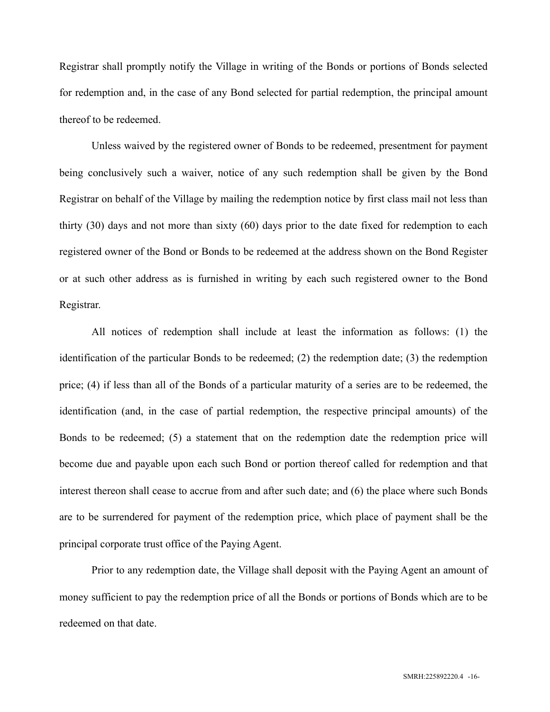Registrar shall promptly notify the Village in writing of the Bonds or portions of Bonds selected for redemption and, in the case of any Bond selected for partial redemption, the principal amount thereof to be redeemed.

Unless waived by the registered owner of Bonds to be redeemed, presentment for payment being conclusively such a waiver, notice of any such redemption shall be given by the Bond Registrar on behalf of the Village by mailing the redemption notice by first class mail not less than thirty (30) days and not more than sixty (60) days prior to the date fixed for redemption to each registered owner of the Bond or Bonds to be redeemed at the address shown on the Bond Register or at such other address as is furnished in writing by each such registered owner to the Bond Registrar.

All notices of redemption shall include at least the information as follows: (1) the identification of the particular Bonds to be redeemed; (2) the redemption date; (3) the redemption price; (4) if less than all of the Bonds of a particular maturity of a series are to be redeemed, the identification (and, in the case of partial redemption, the respective principal amounts) of the Bonds to be redeemed; (5) a statement that on the redemption date the redemption price will become due and payable upon each such Bond or portion thereof called for redemption and that interest thereon shall cease to accrue from and after such date; and (6) the place where such Bonds are to be surrendered for payment of the redemption price, which place of payment shall be the principal corporate trust office of the Paying Agent.

Prior to any redemption date, the Village shall deposit with the Paying Agent an amount of money sufficient to pay the redemption price of all the Bonds or portions of Bonds which are to be redeemed on that date.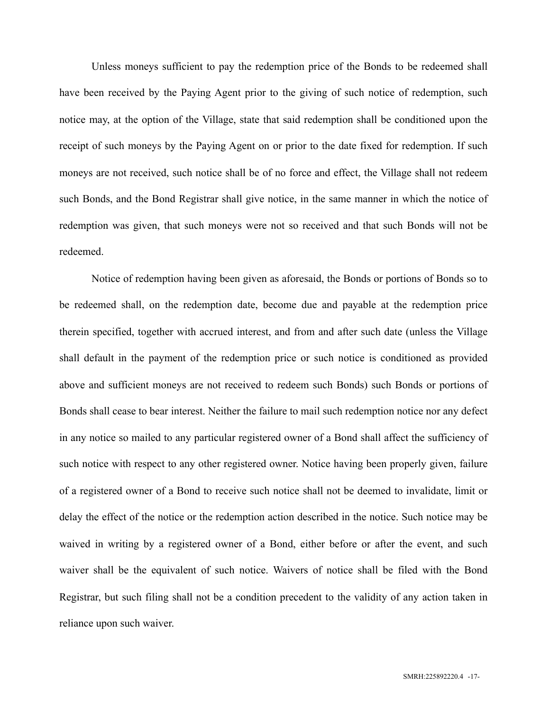Unless moneys sufficient to pay the redemption price of the Bonds to be redeemed shall have been received by the Paying Agent prior to the giving of such notice of redemption, such notice may, at the option of the Village, state that said redemption shall be conditioned upon the receipt of such moneys by the Paying Agent on or prior to the date fixed for redemption. If such moneys are not received, such notice shall be of no force and effect, the Village shall not redeem such Bonds, and the Bond Registrar shall give notice, in the same manner in which the notice of redemption was given, that such moneys were not so received and that such Bonds will not be redeemed.

Notice of redemption having been given as aforesaid, the Bonds or portions of Bonds so to be redeemed shall, on the redemption date, become due and payable at the redemption price therein specified, together with accrued interest, and from and after such date (unless the Village shall default in the payment of the redemption price or such notice is conditioned as provided above and sufficient moneys are not received to redeem such Bonds) such Bonds or portions of Bonds shall cease to bear interest. Neither the failure to mail such redemption notice nor any defect in any notice so mailed to any particular registered owner of a Bond shall affect the sufficiency of such notice with respect to any other registered owner. Notice having been properly given, failure of a registered owner of a Bond to receive such notice shall not be deemed to invalidate, limit or delay the effect of the notice or the redemption action described in the notice. Such notice may be waived in writing by a registered owner of a Bond, either before or after the event, and such waiver shall be the equivalent of such notice. Waivers of notice shall be filed with the Bond Registrar, but such filing shall not be a condition precedent to the validity of any action taken in reliance upon such waiver.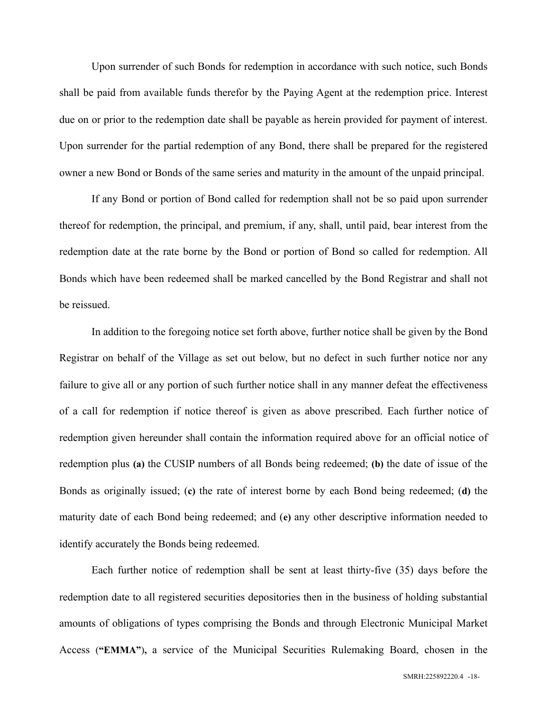Upon surrender of such Bonds for redemption in accordance with such notice, such Bonds shall be paid from available funds therefor by the Paying Agent at the redemption price. Interest due on or prior to the redemption date shall be payable as herein provided for payment of interest. Upon surrender for the partial redemption of any Bond, there shall be prepared for the registered owner a new Bond or Bonds of the same series and maturity in the amount of the unpaid principal.

If any Bond or portion of Bond called for redemption shall not be so paid upon surrender thereof for redemption, the principal, and premium, if any, shall, until paid, bear interest from the redemption date at the rate borne by the Bond or portion of Bond so called for redemption. All Bonds which have been redeemed shall be marked cancelled by the Bond Registrar and shall not be reissued.

In addition to the foregoing notice set forth above, further notice shall be given by the Bond Registrar on behalf of the Village as set out below, but no defect in such further notice nor any failure to give all or any portion of such further notice shall in any manner defeat the effectiveness of a call for redemption if notice thereof is given as above prescribed. Each further notice of redemption given hereunder shall contain the information required above for an official notice of redemption plus **(a)** the CUSIP numbers of all Bonds being redeemed; **(b)** the date of issue of the Bonds as originally issued; (**c)** the rate of interest borne by each Bond being redeemed; (**d)** the maturity date of each Bond being redeemed; and (**e)** any other descriptive information needed to identify accurately the Bonds being redeemed.

Each further notice of redemption shall be sent at least thirty-five (35) days before the redemption date to all registered securities depositories then in the business of holding substantial amounts of obligations of types comprising the Bonds and through Electronic Municipal Market Access (**"EMMA"**)**,** a service of the Municipal Securities Rulemaking Board, chosen in the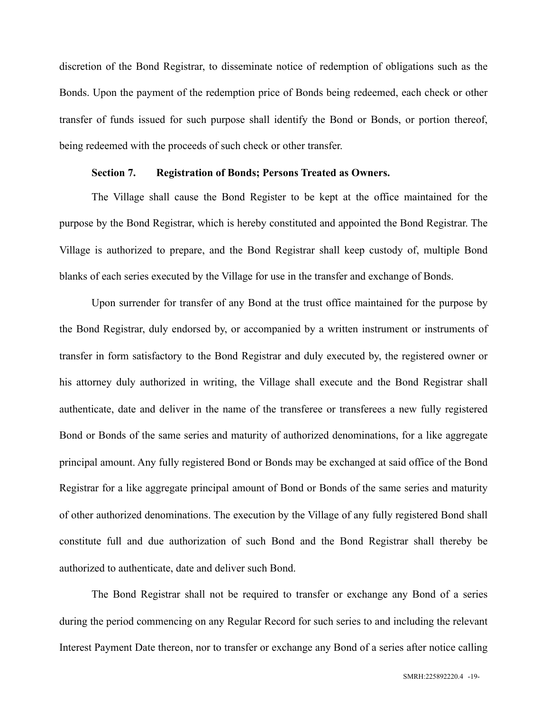discretion of the Bond Registrar, to disseminate notice of redemption of obligations such as the Bonds. Upon the payment of the redemption price of Bonds being redeemed, each check or other transfer of funds issued for such purpose shall identify the Bond or Bonds, or portion thereof, being redeemed with the proceeds of such check or other transfer.

#### **Section 7. Registration of Bonds; Persons Treated as Owners.**

The Village shall cause the Bond Register to be kept at the office maintained for the purpose by the Bond Registrar, which is hereby constituted and appointed the Bond Registrar. The Village is authorized to prepare, and the Bond Registrar shall keep custody of, multiple Bond blanks of each series executed by the Village for use in the transfer and exchange of Bonds.

Upon surrender for transfer of any Bond at the trust office maintained for the purpose by the Bond Registrar, duly endorsed by, or accompanied by a written instrument or instruments of transfer in form satisfactory to the Bond Registrar and duly executed by, the registered owner or his attorney duly authorized in writing, the Village shall execute and the Bond Registrar shall authenticate, date and deliver in the name of the transferee or transferees a new fully registered Bond or Bonds of the same series and maturity of authorized denominations, for a like aggregate principal amount. Any fully registered Bond or Bonds may be exchanged at said office of the Bond Registrar for a like aggregate principal amount of Bond or Bonds of the same series and maturity of other authorized denominations. The execution by the Village of any fully registered Bond shall constitute full and due authorization of such Bond and the Bond Registrar shall thereby be authorized to authenticate, date and deliver such Bond.

The Bond Registrar shall not be required to transfer or exchange any Bond of a series during the period commencing on any Regular Record for such series to and including the relevant Interest Payment Date thereon, nor to transfer or exchange any Bond of a series after notice calling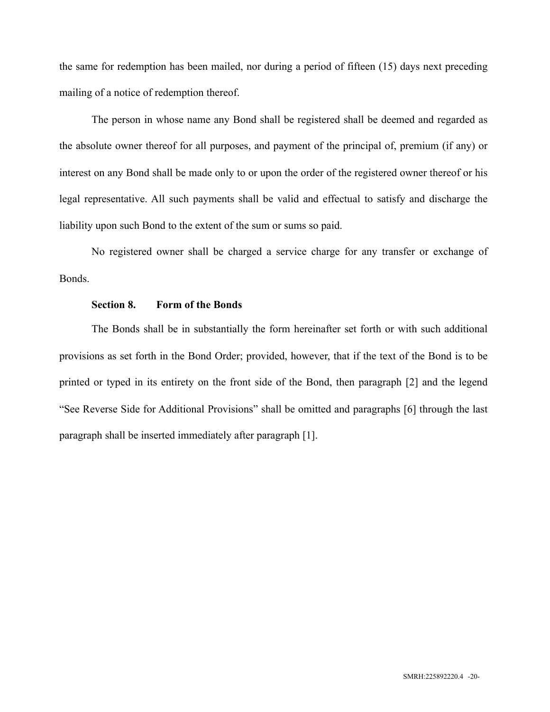the same for redemption has been mailed, nor during a period of fifteen (15) days next preceding mailing of a notice of redemption thereof.

The person in whose name any Bond shall be registered shall be deemed and regarded as the absolute owner thereof for all purposes, and payment of the principal of, premium (if any) or interest on any Bond shall be made only to or upon the order of the registered owner thereof or his legal representative. All such payments shall be valid and effectual to satisfy and discharge the liability upon such Bond to the extent of the sum or sums so paid.

No registered owner shall be charged a service charge for any transfer or exchange of Bonds.

### **Section 8. Form of the Bonds**

The Bonds shall be in substantially the form hereinafter set forth or with such additional provisions as set forth in the Bond Order; provided, however, that if the text of the Bond is to be printed or typed in its entirety on the front side of the Bond, then paragraph [2] and the legend "See Reverse Side for Additional Provisions" shall be omitted and paragraphs [6] through the last paragraph shall be inserted immediately after paragraph [1].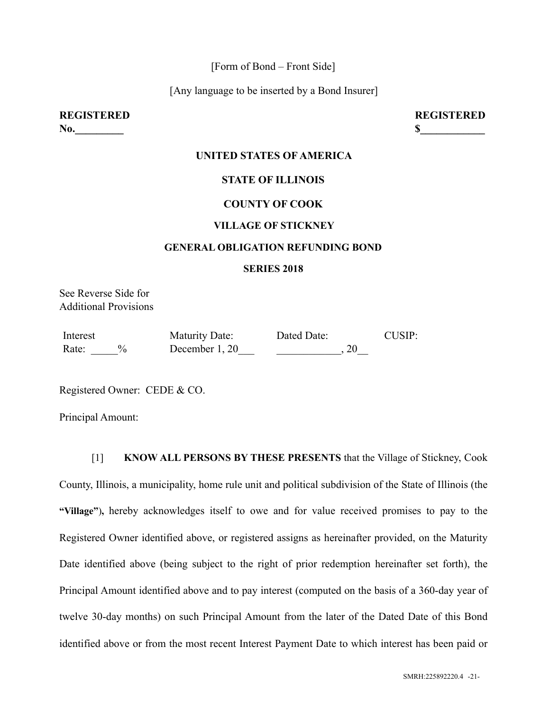[Form of Bond – Front Side]

[Any language to be inserted by a Bond Insurer]

# **REGISTERED REGISTERED**  No. **S**

## **UNITED STATES OF AMERICA**

## **STATE OF ILLINOIS**

## **COUNTY OF COOK**

## **VILLAGE OF STICKNEY**

### **GENERAL OBLIGATION REFUNDING BOND**

**SERIES 2018** 

See Reverse Side for Additional Provisions

| Interest |               | <b>Maturity Date:</b> | Dated Date: | CUSIP: |
|----------|---------------|-----------------------|-------------|--------|
| Rate:    | $\frac{6}{2}$ | December 1, 20        |             | ⊥∠∪    |

Registered Owner: CEDE & CO.

Principal Amount:

[1] **KNOW ALL PERSONS BY THESE PRESENTS** that the Village of Stickney, Cook County, Illinois, a municipality, home rule unit and political subdivision of the State of Illinois (the **"Village"**)**,** hereby acknowledges itself to owe and for value received promises to pay to the Registered Owner identified above, or registered assigns as hereinafter provided, on the Maturity Date identified above (being subject to the right of prior redemption hereinafter set forth), the Principal Amount identified above and to pay interest (computed on the basis of a 360-day year of twelve 30-day months) on such Principal Amount from the later of the Dated Date of this Bond identified above or from the most recent Interest Payment Date to which interest has been paid or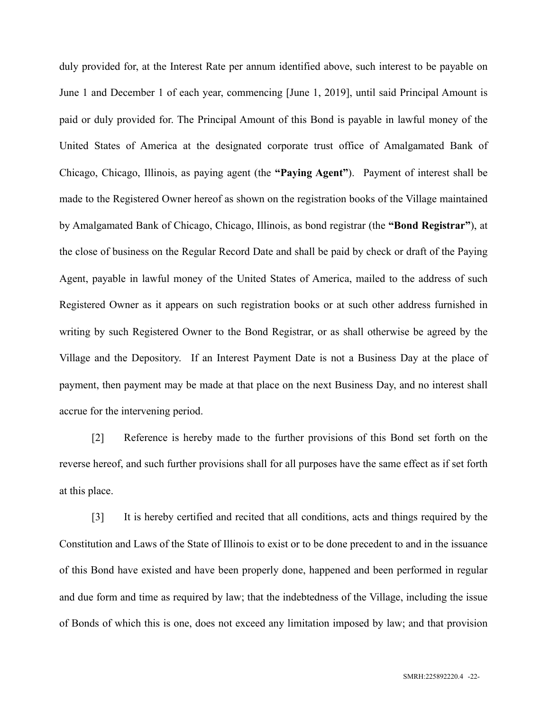duly provided for, at the Interest Rate per annum identified above, such interest to be payable on June 1 and December 1 of each year, commencing [June 1, 2019], until said Principal Amount is paid or duly provided for. The Principal Amount of this Bond is payable in lawful money of the United States of America at the designated corporate trust office of Amalgamated Bank of Chicago, Chicago, Illinois, as paying agent (the **"Paying Agent"**).Payment of interest shall be made to the Registered Owner hereof as shown on the registration books of the Village maintained by Amalgamated Bank of Chicago, Chicago, Illinois, as bond registrar (the **"Bond Registrar"**), at the close of business on the Regular Record Date and shall be paid by check or draft of the Paying Agent, payable in lawful money of the United States of America, mailed to the address of such Registered Owner as it appears on such registration books or at such other address furnished in writing by such Registered Owner to the Bond Registrar, or as shall otherwise be agreed by the Village and the Depository. If an Interest Payment Date is not a Business Day at the place of payment, then payment may be made at that place on the next Business Day, and no interest shall accrue for the intervening period.

[2] Reference is hereby made to the further provisions of this Bond set forth on the reverse hereof, and such further provisions shall for all purposes have the same effect as if set forth at this place.

[3] It is hereby certified and recited that all conditions, acts and things required by the Constitution and Laws of the State of Illinois to exist or to be done precedent to and in the issuance of this Bond have existed and have been properly done, happened and been performed in regular and due form and time as required by law; that the indebtedness of the Village, including the issue of Bonds of which this is one, does not exceed any limitation imposed by law; and that provision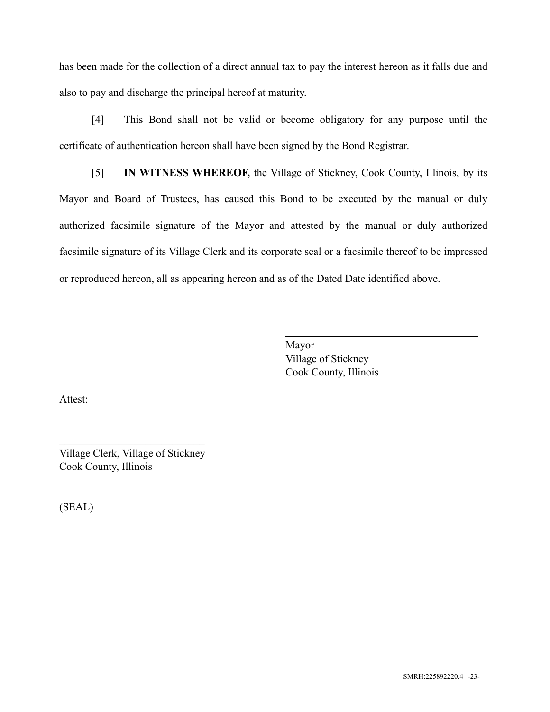has been made for the collection of a direct annual tax to pay the interest hereon as it falls due and also to pay and discharge the principal hereof at maturity.

[4] This Bond shall not be valid or become obligatory for any purpose until the certificate of authentication hereon shall have been signed by the Bond Registrar.

[5] **IN WITNESS WHEREOF,** the Village of Stickney, Cook County, Illinois, by its Mayor and Board of Trustees, has caused this Bond to be executed by the manual or duly authorized facsimile signature of the Mayor and attested by the manual or duly authorized facsimile signature of its Village Clerk and its corporate seal or a facsimile thereof to be impressed or reproduced hereon, all as appearing hereon and as of the Dated Date identified above.

 $\overline{a}$ 

Mayor Village of Stickney Cook County, Illinois

Attest:

Village Clerk, Village of Stickney Cook County, Illinois

 $\mathcal{L}_\text{max}$ 

(SEAL)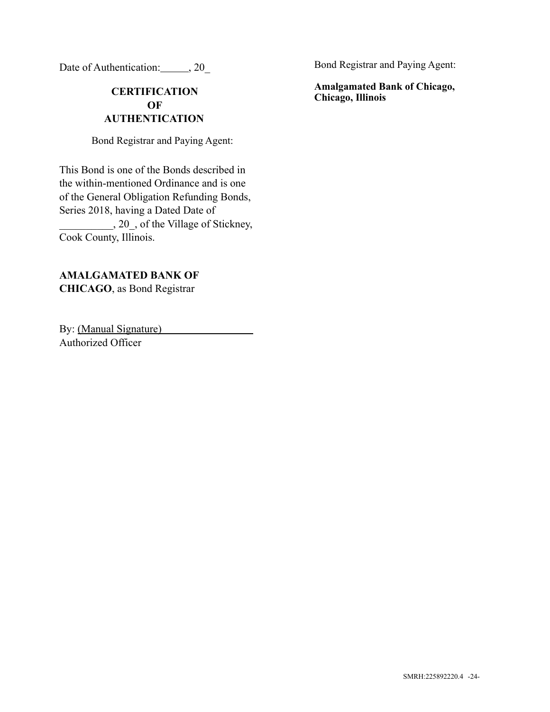Date of Authentication: 6.120

# **CERTIFICATION OF AUTHENTICATION**

Bond Registrar and Paying Agent:

This Bond is one of the Bonds described in the within-mentioned Ordinance and is one of the General Obligation Refunding Bonds, Series 2018, having a Dated Date of \_\_\_\_\_\_\_\_\_\_, 20\_, of the Village of Stickney, Cook County, Illinois.

# **AMALGAMATED BANK OF CHICAGO**, as Bond Registrar

By: (Manual Signature) Authorized Officer

Bond Registrar and Paying Agent:

**Amalgamated Bank of Chicago, Chicago, Illinois**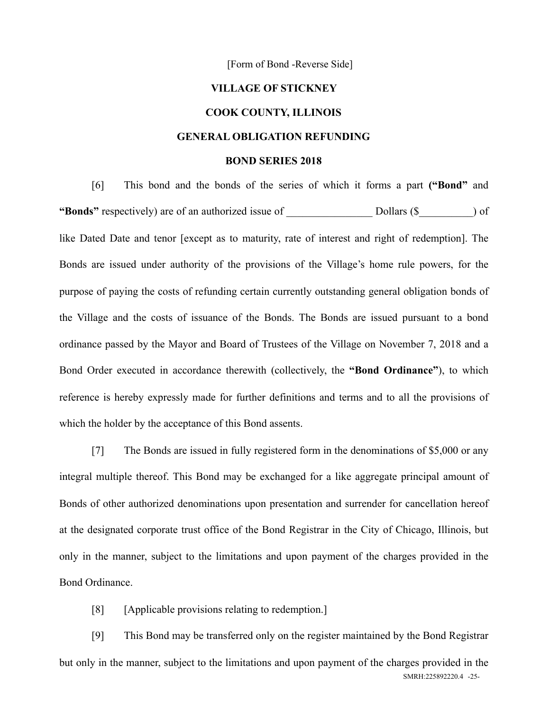[Form of Bond -Reverse Side]

### **VILLAGE OF STICKNEY**

#### **COOK COUNTY, ILLINOIS**

#### **GENERAL OBLIGATION REFUNDING**

#### **BOND SERIES 2018**

[6] This bond and the bonds of the series of which it forms a part **("Bond"** and **"Bonds"** respectively) are of an authorized issue of \_\_\_\_\_\_\_\_\_\_\_\_\_\_\_\_ Dollars (\$\_\_\_\_\_\_\_\_\_\_) of like Dated Date and tenor [except as to maturity, rate of interest and right of redemption]. The Bonds are issued under authority of the provisions of the Village's home rule powers, for the purpose of paying the costs of refunding certain currently outstanding general obligation bonds of the Village and the costs of issuance of the Bonds. The Bonds are issued pursuant to a bond ordinance passed by the Mayor and Board of Trustees of the Village on November 7, 2018 and a Bond Order executed in accordance therewith (collectively, the **"Bond Ordinance"**), to which reference is hereby expressly made for further definitions and terms and to all the provisions of which the holder by the acceptance of this Bond assents.

[7] The Bonds are issued in fully registered form in the denominations of \$5,000 or any integral multiple thereof. This Bond may be exchanged for a like aggregate principal amount of Bonds of other authorized denominations upon presentation and surrender for cancellation hereof at the designated corporate trust office of the Bond Registrar in the City of Chicago, Illinois, but only in the manner, subject to the limitations and upon payment of the charges provided in the Bond Ordinance.

[8] [Applicable provisions relating to redemption.]

[9] This Bond may be transferred only on the register maintained by the Bond Registrar but only in the manner, subject to the limitations and upon payment of the charges provided in the SMRH:225892220.4 -25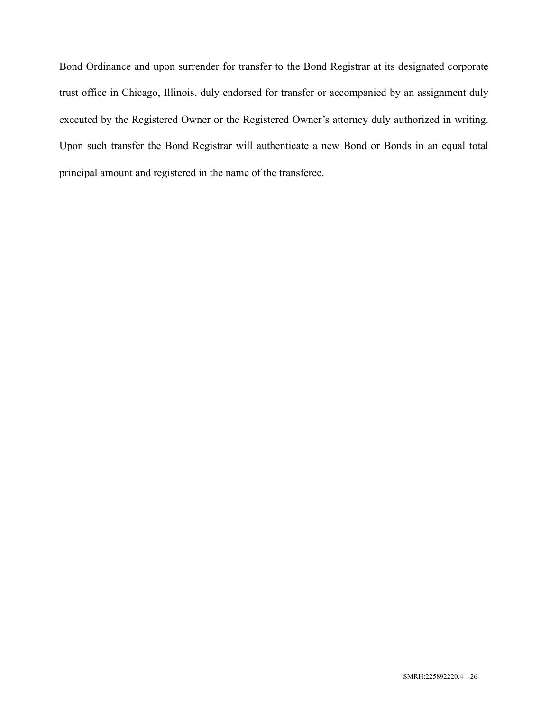Bond Ordinance and upon surrender for transfer to the Bond Registrar at its designated corporate trust office in Chicago, Illinois, duly endorsed for transfer or accompanied by an assignment duly executed by the Registered Owner or the Registered Owner's attorney duly authorized in writing. Upon such transfer the Bond Registrar will authenticate a new Bond or Bonds in an equal total principal amount and registered in the name of the transferee.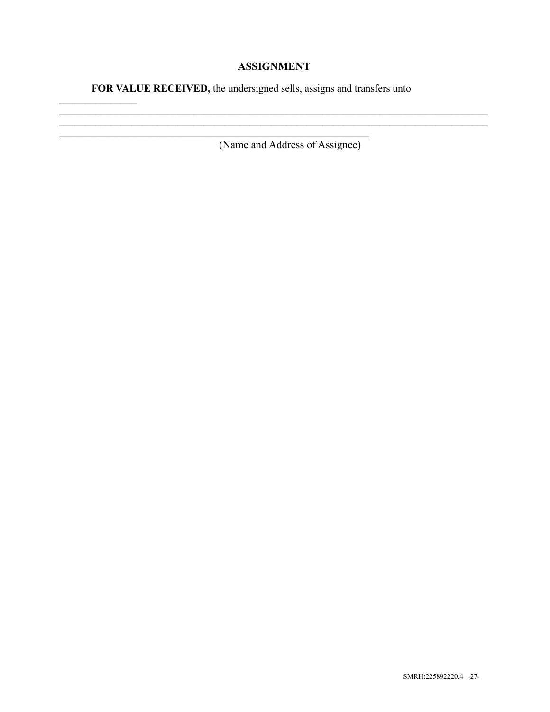# **ASSIGNMENT**

 $\mathcal{L}_\mathcal{L} = \{ \mathcal{L}_\mathcal{L} = \{ \mathcal{L}_\mathcal{L} = \{ \mathcal{L}_\mathcal{L} = \{ \mathcal{L}_\mathcal{L} = \{ \mathcal{L}_\mathcal{L} = \{ \mathcal{L}_\mathcal{L} = \{ \mathcal{L}_\mathcal{L} = \{ \mathcal{L}_\mathcal{L} = \{ \mathcal{L}_\mathcal{L} = \{ \mathcal{L}_\mathcal{L} = \{ \mathcal{L}_\mathcal{L} = \{ \mathcal{L}_\mathcal{L} = \{ \mathcal{L}_\mathcal{L} = \{ \mathcal{L}_\mathcal{$ 

FOR VALUE RECEIVED, the undersigned sells, assigns and transfers unto

 $\mathcal{L}_\text{max}$  and the contract of the contract of the contract of the contract of the contract of the contract of

 $\mathcal{L}_\text{max}$ 

(Name and Address of Assignee)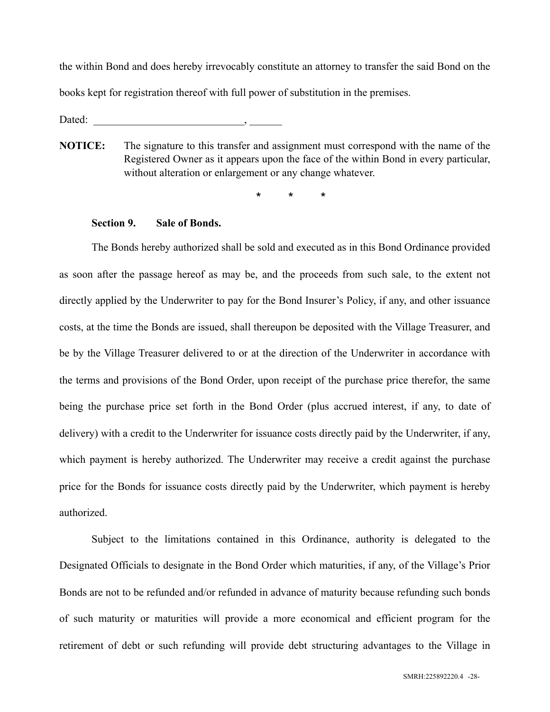the within Bond and does hereby irrevocably constitute an attorney to transfer the said Bond on the books kept for registration thereof with full power of substitution in the premises.

Dated:

**NOTICE:** The signature to this transfer and assignment must correspond with the name of the Registered Owner as it appears upon the face of the within Bond in every particular, without alteration or enlargement or any change whatever.

\* \* \*

### **Section 9. Sale of Bonds.**

The Bonds hereby authorized shall be sold and executed as in this Bond Ordinance provided as soon after the passage hereof as may be, and the proceeds from such sale, to the extent not directly applied by the Underwriter to pay for the Bond Insurer's Policy, if any, and other issuance costs, at the time the Bonds are issued, shall thereupon be deposited with the Village Treasurer, and be by the Village Treasurer delivered to or at the direction of the Underwriter in accordance with the terms and provisions of the Bond Order, upon receipt of the purchase price therefor, the same being the purchase price set forth in the Bond Order (plus accrued interest, if any, to date of delivery) with a credit to the Underwriter for issuance costs directly paid by the Underwriter, if any, which payment is hereby authorized. The Underwriter may receive a credit against the purchase price for the Bonds for issuance costs directly paid by the Underwriter, which payment is hereby authorized.

Subject to the limitations contained in this Ordinance, authority is delegated to the Designated Officials to designate in the Bond Order which maturities, if any, of the Village's Prior Bonds are not to be refunded and/or refunded in advance of maturity because refunding such bonds of such maturity or maturities will provide a more economical and efficient program for the retirement of debt or such refunding will provide debt structuring advantages to the Village in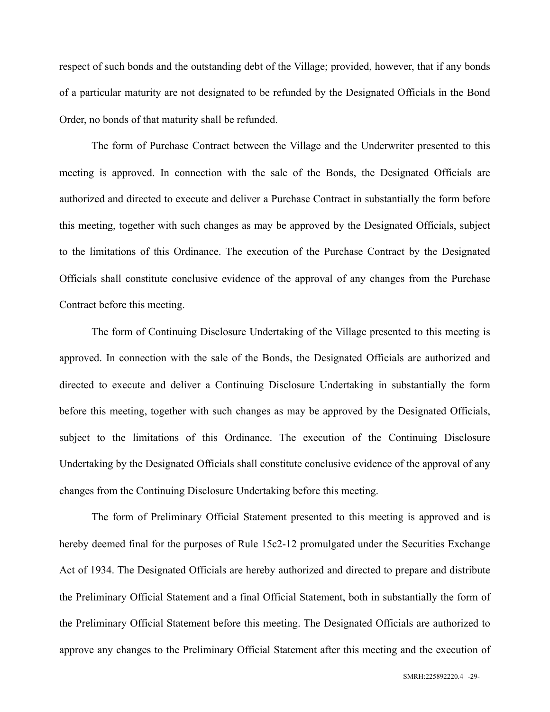respect of such bonds and the outstanding debt of the Village; provided, however, that if any bonds of a particular maturity are not designated to be refunded by the Designated Officials in the Bond Order, no bonds of that maturity shall be refunded.

The form of Purchase Contract between the Village and the Underwriter presented to this meeting is approved. In connection with the sale of the Bonds, the Designated Officials are authorized and directed to execute and deliver a Purchase Contract in substantially the form before this meeting, together with such changes as may be approved by the Designated Officials, subject to the limitations of this Ordinance. The execution of the Purchase Contract by the Designated Officials shall constitute conclusive evidence of the approval of any changes from the Purchase Contract before this meeting.

The form of Continuing Disclosure Undertaking of the Village presented to this meeting is approved. In connection with the sale of the Bonds, the Designated Officials are authorized and directed to execute and deliver a Continuing Disclosure Undertaking in substantially the form before this meeting, together with such changes as may be approved by the Designated Officials, subject to the limitations of this Ordinance. The execution of the Continuing Disclosure Undertaking by the Designated Officials shall constitute conclusive evidence of the approval of any changes from the Continuing Disclosure Undertaking before this meeting.

The form of Preliminary Official Statement presented to this meeting is approved and is hereby deemed final for the purposes of Rule 15c2-12 promulgated under the Securities Exchange Act of 1934. The Designated Officials are hereby authorized and directed to prepare and distribute the Preliminary Official Statement and a final Official Statement, both in substantially the form of the Preliminary Official Statement before this meeting. The Designated Officials are authorized to approve any changes to the Preliminary Official Statement after this meeting and the execution of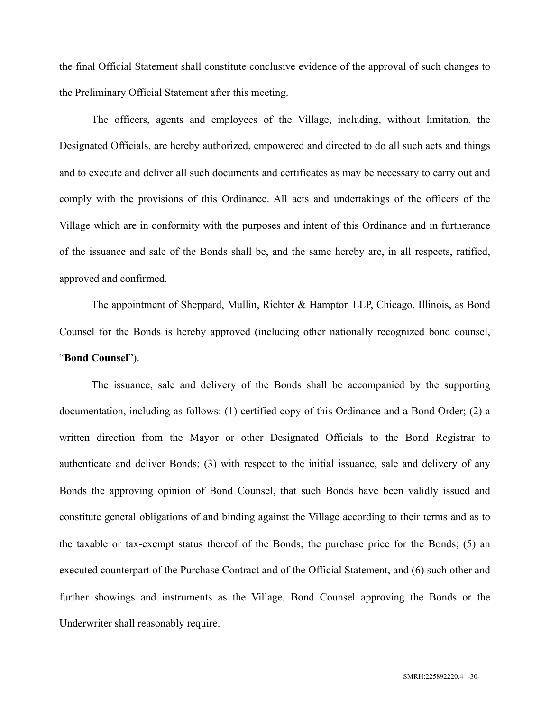the final Official Statement shall constitute conclusive evidence of the approval of such changes to the Preliminary Official Statement after this meeting.

The officers, agents and employees of the Village, including, without limitation, the Designated Officials, are hereby authorized, empowered and directed to do all such acts and things and to execute and deliver all such documents and certificates as may be necessary to carry out and comply with the provisions of this Ordinance. All acts and undertakings of the officers of the Village which are in conformity with the purposes and intent of this Ordinance and in furtherance of the issuance and sale of the Bonds shall be, and the same hereby are, in all respects, ratified, approved and confirmed.

The appointment of Sheppard, Mullin, Richter & Hampton LLP, Chicago, Illinois, as Bond Counsel for the Bonds is hereby approved (including other nationally recognized bond counsel, "**Bond Counsel**").

The issuance, sale and delivery of the Bonds shall be accompanied by the supporting documentation, including as follows: (1) certified copy of this Ordinance and a Bond Order; (2) a written direction from the Mayor or other Designated Officials to the Bond Registrar to authenticate and deliver Bonds; (3) with respect to the initial issuance, sale and delivery of any Bonds the approving opinion of Bond Counsel, that such Bonds have been validly issued and constitute general obligations of and binding against the Village according to their terms and as to the taxable or tax-exempt status thereof of the Bonds; the purchase price for the Bonds; (5) an executed counterpart of the Purchase Contract and of the Official Statement, and (6) such other and further showings and instruments as the Village, Bond Counsel approving the Bonds or the Underwriter shall reasonably require.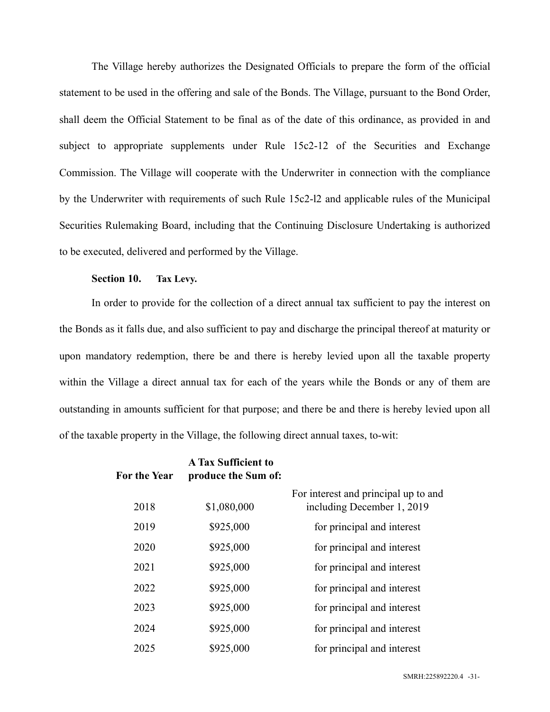The Village hereby authorizes the Designated Officials to prepare the form of the official statement to be used in the offering and sale of the Bonds. The Village, pursuant to the Bond Order, shall deem the Official Statement to be final as of the date of this ordinance, as provided in and subject to appropriate supplements under Rule 15c2-12 of the Securities and Exchange Commission. The Village will cooperate with the Underwriter in connection with the compliance by the Underwriter with requirements of such Rule 15c2-l2 and applicable rules of the Municipal Securities Rulemaking Board, including that the Continuing Disclosure Undertaking is authorized to be executed, delivered and performed by the Village.

## **Section 10. Tax Levy.**

In order to provide for the collection of a direct annual tax sufficient to pay the interest on the Bonds as it falls due, and also sufficient to pay and discharge the principal thereof at maturity or upon mandatory redemption, there be and there is hereby levied upon all the taxable property within the Village a direct annual tax for each of the years while the Bonds or any of them are outstanding in amounts sufficient for that purpose; and there be and there is hereby levied upon all of the taxable property in the Village, the following direct annual taxes, to-wit:

| For the Year | <b>A Tax Sufficient to</b><br>produce the Sum of: |                                                                    |
|--------------|---------------------------------------------------|--------------------------------------------------------------------|
| 2018         | \$1,080,000                                       | For interest and principal up to and<br>including December 1, 2019 |
| 2019         | \$925,000                                         | for principal and interest                                         |
| 2020         | \$925,000                                         | for principal and interest                                         |
| 2021         | \$925,000                                         | for principal and interest                                         |
| 2022         | \$925,000                                         | for principal and interest                                         |
| 2023         | \$925,000                                         | for principal and interest                                         |
| 2024         | \$925,000                                         | for principal and interest                                         |
| 2025         | \$925,000                                         | for principal and interest                                         |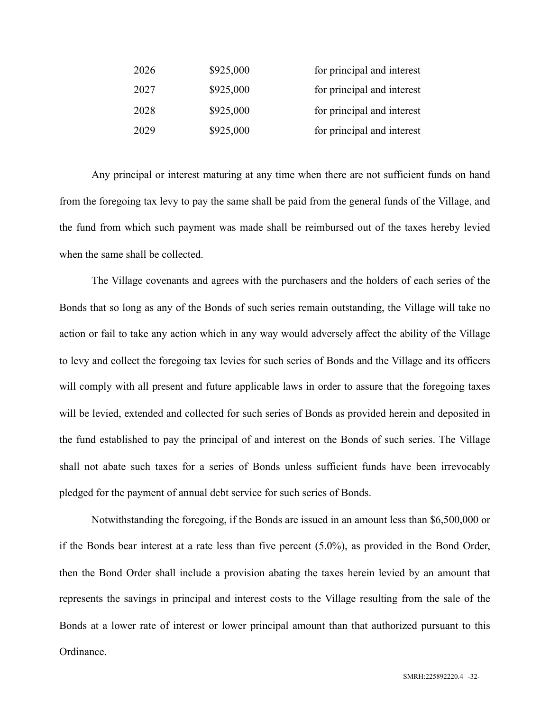| 2026 | \$925,000 | for principal and interest |
|------|-----------|----------------------------|
| 2027 | \$925,000 | for principal and interest |
| 2028 | \$925,000 | for principal and interest |
| 2029 | \$925,000 | for principal and interest |

Any principal or interest maturing at any time when there are not sufficient funds on hand from the foregoing tax levy to pay the same shall be paid from the general funds of the Village, and the fund from which such payment was made shall be reimbursed out of the taxes hereby levied when the same shall be collected.

The Village covenants and agrees with the purchasers and the holders of each series of the Bonds that so long as any of the Bonds of such series remain outstanding, the Village will take no action or fail to take any action which in any way would adversely affect the ability of the Village to levy and collect the foregoing tax levies for such series of Bonds and the Village and its officers will comply with all present and future applicable laws in order to assure that the foregoing taxes will be levied, extended and collected for such series of Bonds as provided herein and deposited in the fund established to pay the principal of and interest on the Bonds of such series. The Village shall not abate such taxes for a series of Bonds unless sufficient funds have been irrevocably pledged for the payment of annual debt service for such series of Bonds.

Notwithstanding the foregoing, if the Bonds are issued in an amount less than \$6,500,000 or if the Bonds bear interest at a rate less than five percent (5.0%), as provided in the Bond Order, then the Bond Order shall include a provision abating the taxes herein levied by an amount that represents the savings in principal and interest costs to the Village resulting from the sale of the Bonds at a lower rate of interest or lower principal amount than that authorized pursuant to this Ordinance.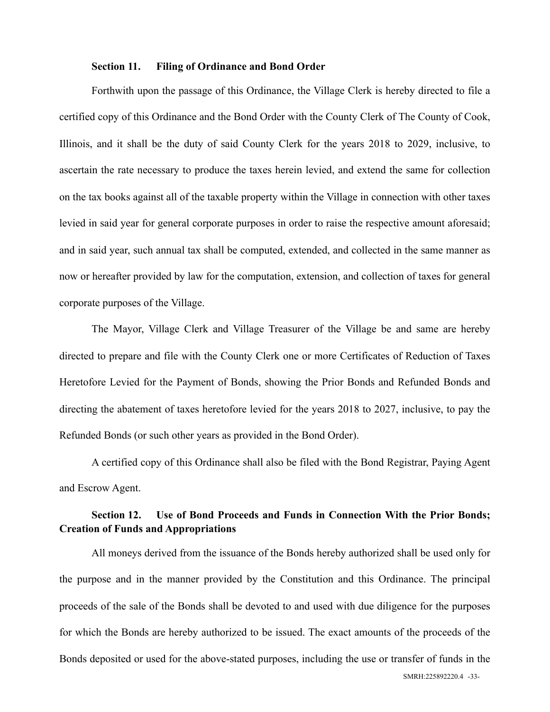#### **Section 11. Filing of Ordinance and Bond Order**

Forthwith upon the passage of this Ordinance, the Village Clerk is hereby directed to file a certified copy of this Ordinance and the Bond Order with the County Clerk of The County of Cook, Illinois, and it shall be the duty of said County Clerk for the years 2018 to 2029, inclusive, to ascertain the rate necessary to produce the taxes herein levied, and extend the same for collection on the tax books against all of the taxable property within the Village in connection with other taxes levied in said year for general corporate purposes in order to raise the respective amount aforesaid; and in said year, such annual tax shall be computed, extended, and collected in the same manner as now or hereafter provided by law for the computation, extension, and collection of taxes for general corporate purposes of the Village.

The Mayor, Village Clerk and Village Treasurer of the Village be and same are hereby directed to prepare and file with the County Clerk one or more Certificates of Reduction of Taxes Heretofore Levied for the Payment of Bonds, showing the Prior Bonds and Refunded Bonds and directing the abatement of taxes heretofore levied for the years 2018 to 2027, inclusive, to pay the Refunded Bonds (or such other years as provided in the Bond Order).

A certified copy of this Ordinance shall also be filed with the Bond Registrar, Paying Agent and Escrow Agent.

# **Section 12. Use of Bond Proceeds and Funds in Connection With the Prior Bonds; Creation of Funds and Appropriations**

All moneys derived from the issuance of the Bonds hereby authorized shall be used only for the purpose and in the manner provided by the Constitution and this Ordinance. The principal proceeds of the sale of the Bonds shall be devoted to and used with due diligence for the purposes for which the Bonds are hereby authorized to be issued. The exact amounts of the proceeds of the Bonds deposited or used for the above-stated purposes, including the use or transfer of funds in the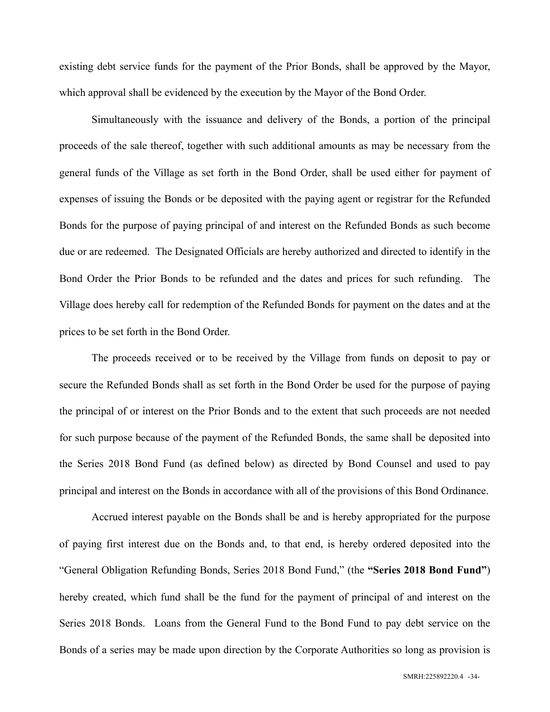existing debt service funds for the payment of the Prior Bonds, shall be approved by the Mayor, which approval shall be evidenced by the execution by the Mayor of the Bond Order.

Simultaneously with the issuance and delivery of the Bonds, a portion of the principal proceeds of the sale thereof, together with such additional amounts as may be necessary from the general funds of the Village as set forth in the Bond Order, shall be used either for payment of expenses of issuing the Bonds or be deposited with the paying agent or registrar for the Refunded Bonds for the purpose of paying principal of and interest on the Refunded Bonds as such become due or are redeemed. The Designated Officials are hereby authorized and directed to identify in the Bond Order the Prior Bonds to be refunded and the dates and prices for such refunding. The Village does hereby call for redemption of the Refunded Bonds for payment on the dates and at the prices to be set forth in the Bond Order.

The proceeds received or to be received by the Village from funds on deposit to pay or secure the Refunded Bonds shall as set forth in the Bond Order be used for the purpose of paying the principal of or interest on the Prior Bonds and to the extent that such proceeds are not needed for such purpose because of the payment of the Refunded Bonds, the same shall be deposited into the Series 2018 Bond Fund (as defined below) as directed by Bond Counsel and used to pay principal and interest on the Bonds in accordance with all of the provisions of this Bond Ordinance.

Accrued interest payable on the Bonds shall be and is hereby appropriated for the purpose of paying first interest due on the Bonds and, to that end, is hereby ordered deposited into the "General Obligation Refunding Bonds, Series 2018 Bond Fund," (the **"Series 2018 Bond Fund"**) hereby created, which fund shall be the fund for the payment of principal of and interest on the Series 2018 Bonds. Loans from the General Fund to the Bond Fund to pay debt service on the Bonds of a series may be made upon direction by the Corporate Authorities so long as provision is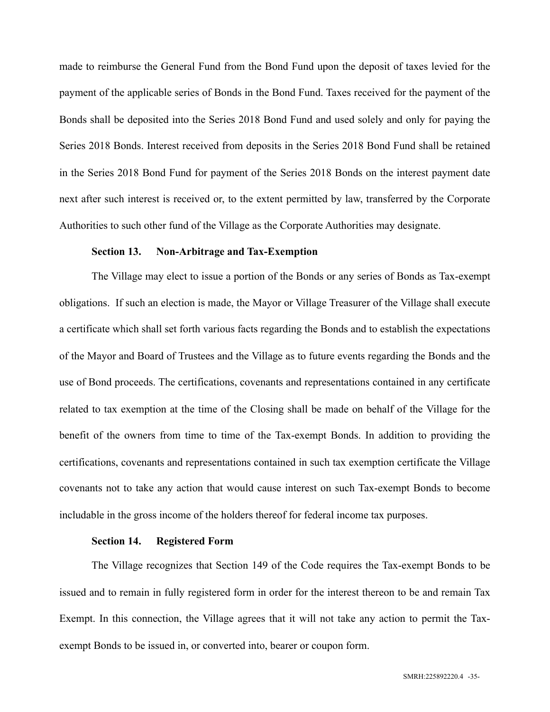made to reimburse the General Fund from the Bond Fund upon the deposit of taxes levied for the payment of the applicable series of Bonds in the Bond Fund. Taxes received for the payment of the Bonds shall be deposited into the Series 2018 Bond Fund and used solely and only for paying the Series 2018 Bonds. Interest received from deposits in the Series 2018 Bond Fund shall be retained in the Series 2018 Bond Fund for payment of the Series 2018 Bonds on the interest payment date next after such interest is received or, to the extent permitted by law, transferred by the Corporate Authorities to such other fund of the Village as the Corporate Authorities may designate.

### **Section 13. Non-Arbitrage and Tax-Exemption**

The Village may elect to issue a portion of the Bonds or any series of Bonds as Tax-exempt obligations. If such an election is made, the Mayor or Village Treasurer of the Village shall execute a certificate which shall set forth various facts regarding the Bonds and to establish the expectations of the Mayor and Board of Trustees and the Village as to future events regarding the Bonds and the use of Bond proceeds. The certifications, covenants and representations contained in any certificate related to tax exemption at the time of the Closing shall be made on behalf of the Village for the benefit of the owners from time to time of the Tax-exempt Bonds. In addition to providing the certifications, covenants and representations contained in such tax exemption certificate the Village covenants not to take any action that would cause interest on such Tax-exempt Bonds to become includable in the gross income of the holders thereof for federal income tax purposes.

#### **Section 14. Registered Form**

The Village recognizes that Section 149 of the Code requires the Tax-exempt Bonds to be issued and to remain in fully registered form in order for the interest thereon to be and remain Tax Exempt. In this connection, the Village agrees that it will not take any action to permit the Taxexempt Bonds to be issued in, or converted into, bearer or coupon form.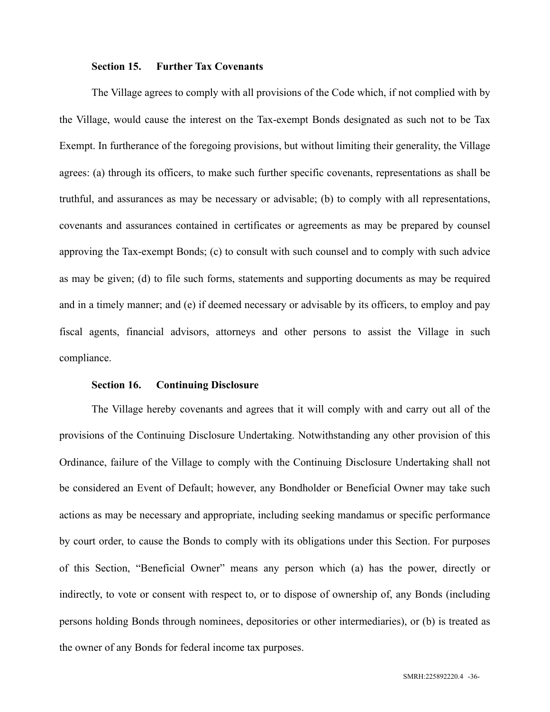### **Section 15. Further Tax Covenants**

The Village agrees to comply with all provisions of the Code which, if not complied with by the Village, would cause the interest on the Tax-exempt Bonds designated as such not to be Tax Exempt. In furtherance of the foregoing provisions, but without limiting their generality, the Village agrees: (a) through its officers, to make such further specific covenants, representations as shall be truthful, and assurances as may be necessary or advisable; (b) to comply with all representations, covenants and assurances contained in certificates or agreements as may be prepared by counsel approving the Tax-exempt Bonds; (c) to consult with such counsel and to comply with such advice as may be given; (d) to file such forms, statements and supporting documents as may be required and in a timely manner; and (e) if deemed necessary or advisable by its officers, to employ and pay fiscal agents, financial advisors, attorneys and other persons to assist the Village in such compliance.

#### **Section 16. Continuing Disclosure**

The Village hereby covenants and agrees that it will comply with and carry out all of the provisions of the Continuing Disclosure Undertaking. Notwithstanding any other provision of this Ordinance, failure of the Village to comply with the Continuing Disclosure Undertaking shall not be considered an Event of Default; however, any Bondholder or Beneficial Owner may take such actions as may be necessary and appropriate, including seeking mandamus or specific performance by court order, to cause the Bonds to comply with its obligations under this Section. For purposes of this Section, "Beneficial Owner" means any person which (a) has the power, directly or indirectly, to vote or consent with respect to, or to dispose of ownership of, any Bonds (including persons holding Bonds through nominees, depositories or other intermediaries), or (b) is treated as the owner of any Bonds for federal income tax purposes.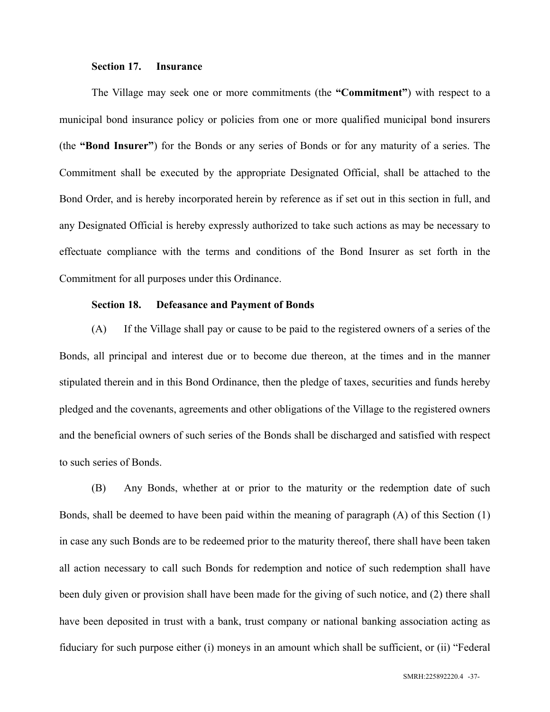### **Section 17. Insurance**

The Village may seek one or more commitments (the **"Commitment"**) with respect to a municipal bond insurance policy or policies from one or more qualified municipal bond insurers (the **"Bond Insurer"**) for the Bonds or any series of Bonds or for any maturity of a series. The Commitment shall be executed by the appropriate Designated Official, shall be attached to the Bond Order, and is hereby incorporated herein by reference as if set out in this section in full, and any Designated Official is hereby expressly authorized to take such actions as may be necessary to effectuate compliance with the terms and conditions of the Bond Insurer as set forth in the Commitment for all purposes under this Ordinance.

#### **Section 18. Defeasance and Payment of Bonds**

(A) If the Village shall pay or cause to be paid to the registered owners of a series of the Bonds, all principal and interest due or to become due thereon, at the times and in the manner stipulated therein and in this Bond Ordinance, then the pledge of taxes, securities and funds hereby pledged and the covenants, agreements and other obligations of the Village to the registered owners and the beneficial owners of such series of the Bonds shall be discharged and satisfied with respect to such series of Bonds.

(B) Any Bonds, whether at or prior to the maturity or the redemption date of such Bonds, shall be deemed to have been paid within the meaning of paragraph (A) of this Section (1) in case any such Bonds are to be redeemed prior to the maturity thereof, there shall have been taken all action necessary to call such Bonds for redemption and notice of such redemption shall have been duly given or provision shall have been made for the giving of such notice, and (2) there shall have been deposited in trust with a bank, trust company or national banking association acting as fiduciary for such purpose either (i) moneys in an amount which shall be sufficient, or (ii) "Federal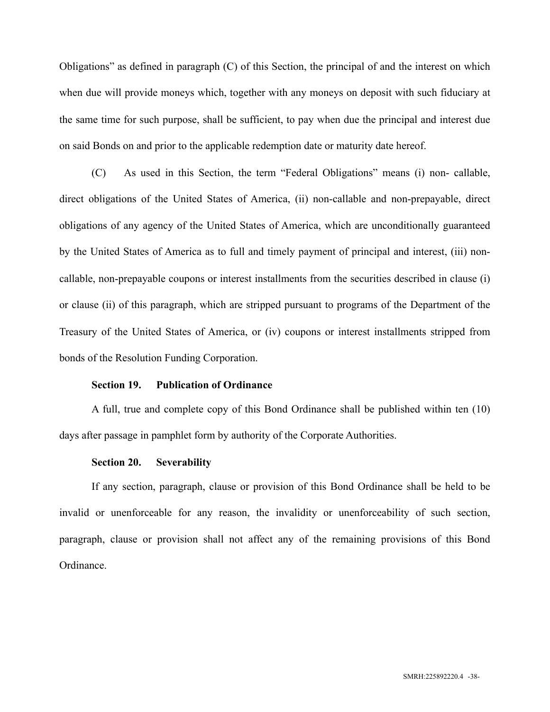Obligations" as defined in paragraph (C) of this Section, the principal of and the interest on which when due will provide moneys which, together with any moneys on deposit with such fiduciary at the same time for such purpose, shall be sufficient, to pay when due the principal and interest due on said Bonds on and prior to the applicable redemption date or maturity date hereof.

(C) As used in this Section, the term "Federal Obligations" means (i) non- callable, direct obligations of the United States of America, (ii) non-callable and non-prepayable, direct obligations of any agency of the United States of America, which are unconditionally guaranteed by the United States of America as to full and timely payment of principal and interest, (iii) noncallable, non-prepayable coupons or interest installments from the securities described in clause (i) or clause (ii) of this paragraph, which are stripped pursuant to programs of the Department of the Treasury of the United States of America, or (iv) coupons or interest installments stripped from bonds of the Resolution Funding Corporation.

#### **Section 19. Publication of Ordinance**

A full, true and complete copy of this Bond Ordinance shall be published within ten (10) days after passage in pamphlet form by authority of the Corporate Authorities.

### **Section 20. Severability**

If any section, paragraph, clause or provision of this Bond Ordinance shall be held to be invalid or unenforceable for any reason, the invalidity or unenforceability of such section, paragraph, clause or provision shall not affect any of the remaining provisions of this Bond Ordinance.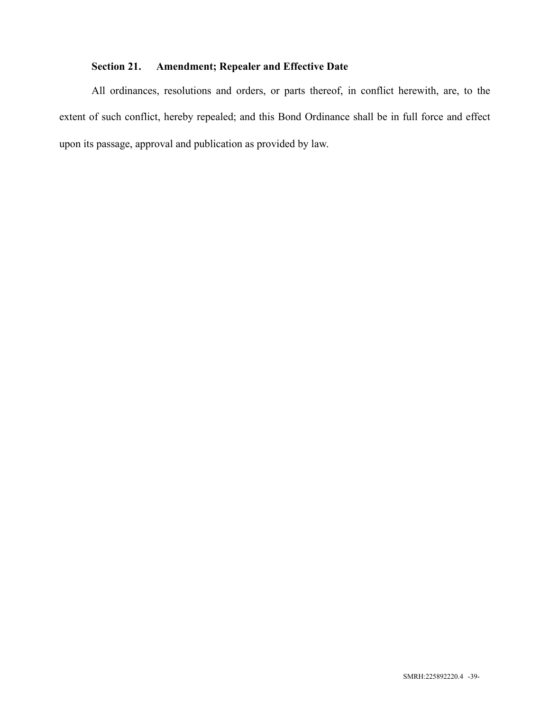# **Section 21. Amendment; Repealer and Effective Date**

All ordinances, resolutions and orders, or parts thereof, in conflict herewith, are, to the extent of such conflict, hereby repealed; and this Bond Ordinance shall be in full force and effect upon its passage, approval and publication as provided by law.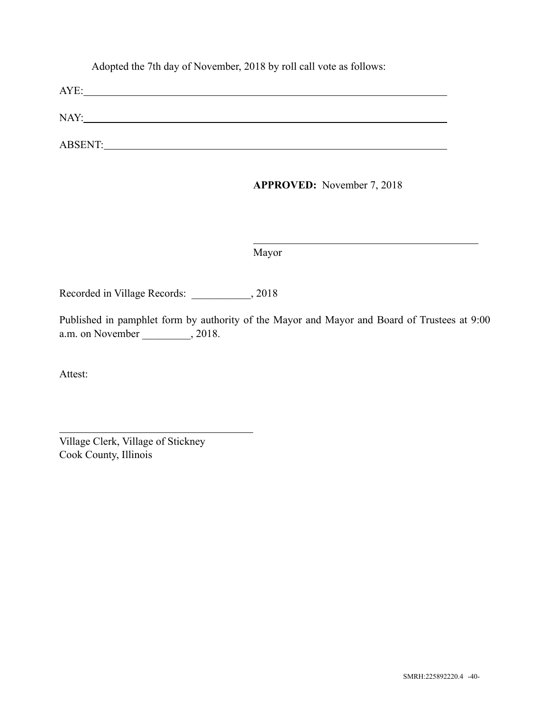Adopted the 7th day of November, 2018 by roll call vote as follows:

| AYE:    |  |  |
|---------|--|--|
| NAY:    |  |  |
| ABSENT: |  |  |

## **APPROVED:** November 7, 2018

Mayor

 $\overline{a}$ 

Recorded in Village Records: \_\_\_\_\_\_\_\_\_\_\_, 2018

Published in pamphlet form by authority of the Mayor and Mayor and Board of Trustees at 9:00 a.m. on November \_\_\_\_\_\_\_\_, 2018.

Attest:

 $\overline{a}$ 

Village Clerk, Village of Stickney Cook County, Illinois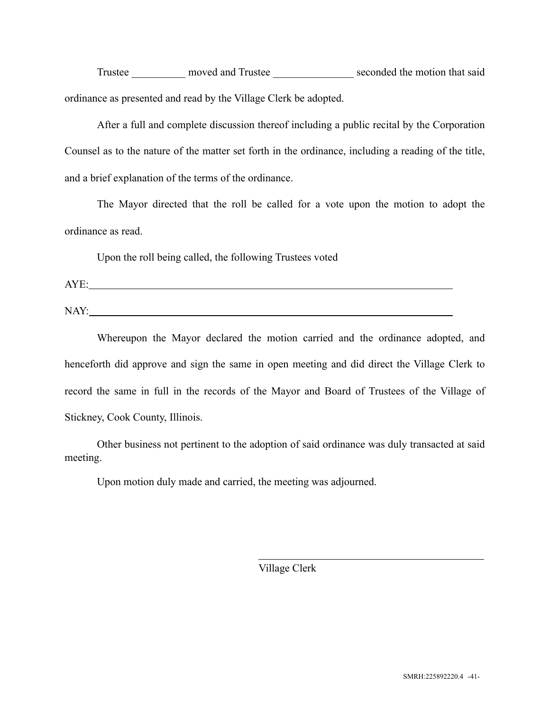Trustee moved and Trustee seconded the motion that said ordinance as presented and read by the Village Clerk be adopted.

After a full and complete discussion thereof including a public recital by the Corporation Counsel as to the nature of the matter set forth in the ordinance, including a reading of the title, and a brief explanation of the terms of the ordinance.

The Mayor directed that the roll be called for a vote upon the motion to adopt the ordinance as read.

Upon the roll being called, the following Trustees voted

AYE:

NAY:

Whereupon the Mayor declared the motion carried and the ordinance adopted, and henceforth did approve and sign the same in open meeting and did direct the Village Clerk to record the same in full in the records of the Mayor and Board of Trustees of the Village of Stickney, Cook County, Illinois.

Other business not pertinent to the adoption of said ordinance was duly transacted at said meeting.

Upon motion duly made and carried, the meeting was adjourned.

Village Clerk

 $\overline{a}$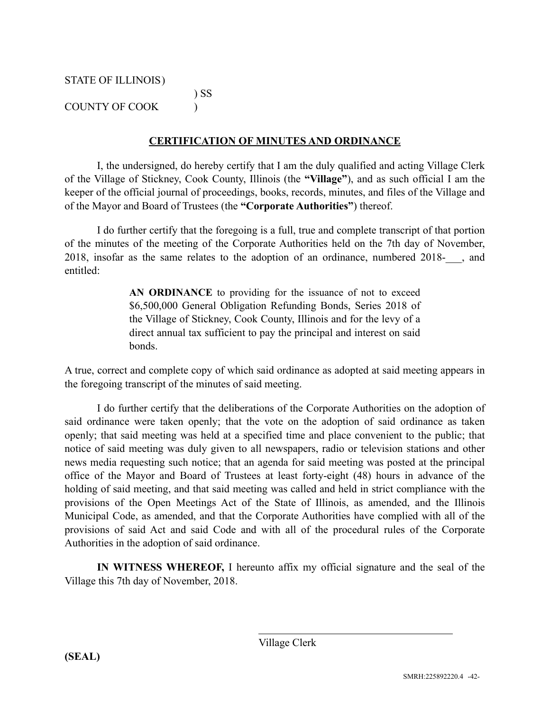STATE OF ILLINOIS ) ) SS COUNTY OF COOK (1)

## **CERTIFICATION OF MINUTES AND ORDINANCE**

I, the undersigned, do hereby certify that I am the duly qualified and acting Village Clerk of the Village of Stickney, Cook County, Illinois (the **"Village"**), and as such official I am the keeper of the official journal of proceedings, books, records, minutes, and files of the Village and of the Mayor and Board of Trustees (the **"Corporate Authorities"**) thereof.

I do further certify that the foregoing is a full, true and complete transcript of that portion of the minutes of the meeting of the Corporate Authorities held on the 7th day of November, 2018, insofar as the same relates to the adoption of an ordinance, numbered 2018-, and entitled:

> AN ORDINANCE to providing for the issuance of not to exceed \$6,500,000 General Obligation Refunding Bonds, Series 2018 of the Village of Stickney, Cook County, Illinois and for the levy of a direct annual tax sufficient to pay the principal and interest on said bonds.

A true, correct and complete copy of which said ordinance as adopted at said meeting appears in the foregoing transcript of the minutes of said meeting.

I do further certify that the deliberations of the Corporate Authorities on the adoption of said ordinance were taken openly; that the vote on the adoption of said ordinance as taken openly; that said meeting was held at a specified time and place convenient to the public; that notice of said meeting was duly given to all newspapers, radio or television stations and other news media requesting such notice; that an agenda for said meeting was posted at the principal office of the Mayor and Board of Trustees at least forty-eight (48) hours in advance of the holding of said meeting, and that said meeting was called and held in strict compliance with the provisions of the Open Meetings Act of the State of Illinois, as amended, and the Illinois Municipal Code, as amended, and that the Corporate Authorities have complied with all of the provisions of said Act and said Code and with all of the procedural rules of the Corporate Authorities in the adoption of said ordinance.

**IN WITNESS WHEREOF,** I hereunto affix my official signature and the seal of the Village this 7th day of November, 2018.

Village Clerk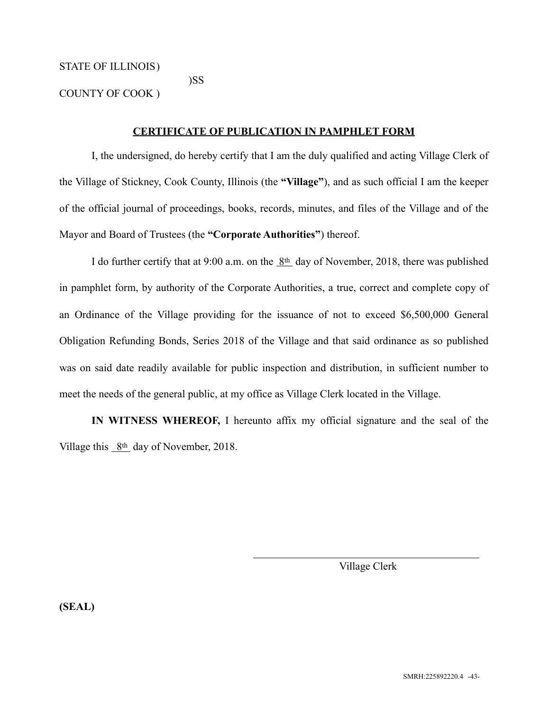#### **CERTIFICATE OF PUBLICATION IN PAMPHLET FORM**

I, the undersigned, do hereby certify that I am the duly qualified and acting Village Clerk of the Village of Stickney, Cook County, Illinois (the **"Village"**), and as such official I am the keeper of the official journal of proceedings, books, records, minutes, and files of the Village and of the Mayor and Board of Trustees (the **"Corporate Authorities"**) thereof.

I do further certify that at 9:00 a.m. on the  $8<sup>th</sup>$  day of November, 2018, there was published in pamphlet form, by authority of the Corporate Authorities, a true, correct and complete copy of an Ordinance of the Village providing for the issuance of not to exceed \$6,500,000 General Obligation Refunding Bonds, Series 2018 of the Village and that said ordinance as so published was on said date readily available for public inspection and distribution, in sufficient number to meet the needs of the general public, at my office as Village Clerk located in the Village.

**IN WITNESS WHEREOF,** I hereunto affix my official signature and the seal of the Village this  $8<sup>th</sup>$  day of November, 2018.

 $\overline{a}$ 

Village Clerk

**(SEAL)**